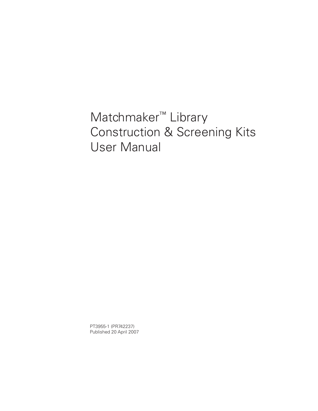# Matchmaker™ Library Construction & Screening Kits User Manual

PT3955-1 (PR742237) Published 20 April 2007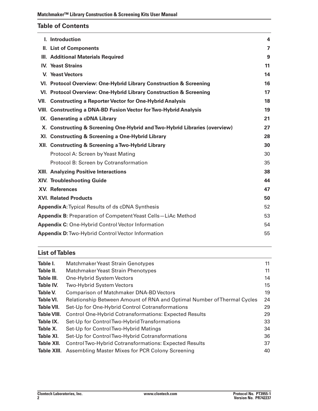# **Table of Contents**

| I. Introduction                                                            | 4  |
|----------------------------------------------------------------------------|----|
| II. List of Components                                                     | 7  |
| III. Additional Materials Required                                         | 9  |
| <b>IV. Yeast Strains</b>                                                   | 11 |
| V. Yeast Vectors                                                           | 14 |
| VI. Protocol Overview: One-Hybrid Library Construction & Screening         | 16 |
| VI. Protocol Overview: One-Hybrid Library Construction & Screening         | 17 |
| VII. Constructing a Reporter Vector for One-Hybrid Analysis                | 18 |
| VIII. Constructing a DNA-BD Fusion Vector for Two-Hybrid Analysis          | 19 |
| IX. Generating a cDNA Library                                              | 21 |
| X. Constructing & Screening One-Hybrid and Two-Hybrid Libraries (overview) | 27 |
| XI. Constructing & Screening a One-Hybrid Library                          | 28 |
| XII. Constructing & Screening a Two-Hybrid Library                         | 30 |
| Protocol A: Screen by Yeast Mating                                         | 30 |
| Protocol B: Screen by Cotransformation                                     | 35 |
| <b>XIII. Analyzing Positive Interactions</b>                               | 38 |
| <b>XIV. Troubleshooting Guide</b>                                          | 44 |
| <b>XV. References</b>                                                      | 47 |
| <b>XVI. Related Products</b>                                               | 50 |
| <b>Appendix A: Typical Results of ds cDNA Synthesis</b>                    | 52 |
| Appendix B: Preparation of Competent Yeast Cells-LiAc Method               | 53 |
| <b>Appendix C: One-Hybrid Control Vector Information</b>                   | 54 |
| <b>Appendix D: Two-Hybrid Control Vector Information</b>                   | 55 |

# **List ofTables**

| Table I.    | Matchmaker Yeast Strain Genotypes                                       | 11 |
|-------------|-------------------------------------------------------------------------|----|
| Table II.   | Matchmaker Yeast Strain Phenotypes                                      | 11 |
| Table III.  | One-Hybrid System Vectors                                               | 14 |
| Table IV.   | <b>Two-Hybrid System Vectors</b>                                        | 15 |
| Table V.    | <b>Comparison of Matchmaker DNA-BD Vectors</b>                          | 19 |
| Table VI.   | Relationship Between Amount of RNA and Optimal Number of Thermal Cycles | 24 |
| Table VII.  | Set-Up for One-Hybrid Control Cotransformations                         | 29 |
| Table VIII. | <b>Control One-Hybrid Cotransformations: Expected Results</b>           | 29 |
| Table IX.   | Set-Up for Control Two-Hybrid Transformations                           | 33 |
| Table X.    | Set-Up for Control Two-Hybrid Matings                                   | 34 |
| Table XI.   | Set-Up for Control Two-Hybrid Cotransformations                         | 36 |
| Table XII.  | Control Two-Hybrid Cotransformations: Expected Results                  | 37 |
| Table XIII. | Assembling Master Mixes for PCR Colony Screening                        | 40 |
|             |                                                                         |    |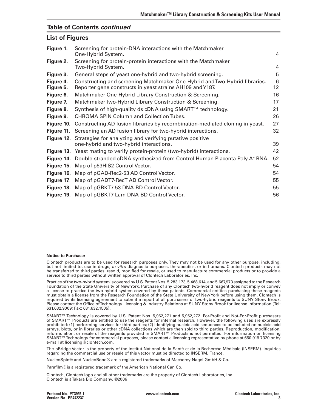### **Table of Contents** *continued*

# **List of Figures**

| Figure 1.              | Screening for protein-DNA interactions with the Matchmaker<br>One-Hybrid System.                                                        | 4       |
|------------------------|-----------------------------------------------------------------------------------------------------------------------------------------|---------|
| Figure 2.              | Screening for protein-protein interactions with the Matchmaker<br>Two-Hybrid System.                                                    | 4       |
| Figure 3.              | General steps of yeast one-hybrid and two-hybrid screening.                                                                             | 5       |
| Figure 4.<br>Figure 5. | Constructing and screening Matchmaker One-Hybrid and Two-Hybrid libraries.<br>Reporter gene constructs in yeast strains AH109 and Y187. | 6<br>12 |
| Figure 6.              | Matchmaker One-Hybrid Library Construction & Screening.                                                                                 | 16      |
| Figure 7.              | Matchmaker Two-Hybrid Library Construction & Screening.                                                                                 | 17      |
| Figure 8.              | Synthesis of high-quality ds cDNA using SMART™ technology.                                                                              | 21      |
| Figure 9.              | CHROMA SPIN Column and Collection Tubes.                                                                                                | 26      |
| Figure 10.             | Constructing AD fusion libraries by recombination-mediated cloning in yeast.                                                            | 27      |
| Figure 11.             | Screening an AD fusion library for two-hybrid interactions.                                                                             | 32      |
| <b>Figure 12.</b>      | Strategies for analyzing and verifying putative positive<br>one-hybrid and two-hybrid interactions.                                     | 39      |
|                        | <b>Figure 13.</b> Yeast mating to verify protein-protein (two-hybrid) interactions.                                                     | 42      |
|                        | Figure 14. Double-stranded cDNA synthesized from Control Human Placenta Poly A <sup>+</sup> RNA.                                        | 52      |
|                        | Figure 15. Map of p53HIS2 Control Vector.                                                                                               | 54      |
|                        | Figure 16. Map of pGAD-Rec2-53 AD Control Vector.                                                                                       | 54      |
| Figure 17.             | Map of pGADT7-RecT AD Control Vector.                                                                                                   | 55      |
|                        | Figure 18. Map of pGBKT7-53 DNA-BD Control Vector.                                                                                      | 55      |
|                        | Figure 19. Map of pGBKT7-Lam DNA-BD Control Vector.                                                                                     | 56      |

#### **Notice to Purchaser**

Clontech products are to be used for research purposes only. They may not be used for any other purpose, including, but not limited to, use in drugs, *in vitro* diagnostic purposes, therapeutics, or in humans. Clontech products may not be transferred to third parties, resold, modified for resale, or used to manufacture commercial products or to provide a service to third parties without written approval of Clontech Laboratories, Inc.

Practice of the two-hybrid system is covered by U.S. Patent Nos. 5,283,173,5,468,614, and 5,667,973 assigned to the Research Foundation of the State University of NewYork. Purchase of any Clontech two-hybrid reagent does not imply or convey a license to practice the two-hybrid system covered by these patents. Commercial entities purchasing these reagents must obtain a license from the Research Foundation of the State University of NewYork before using them. Clontech is required by its licensing agreement to submit a report of all purchasers of two-hybrid reagents to SUNY Stony Brook. Please contact the Office ofTechnology Licensing & Industry Relations at SUNY Stony Brook for license information (Tel: 631.632.9009; Fax: 631.632.1505).

SMART™ Technology is covered by U.S. Patent Nos. 5,962,271 and 5,962,272. For-Profit and Not-For-Profit purchasers of SMART™ Products are entitled to use the reagents for internal research. However, the following uses are expressly prohibited: (1) performing services for third parties; (2) identifying nucleic acid sequences to be included on nucleic acid arrays, blots, or in libraries or other cDNA collections which are then sold to third parties. Reproduction, modification, reformulation, or resale of the reagents provided in SMART™ Products is not permitted. For information on licensing SMART<sup>™</sup>Technology for commercial purposes, please contact a licensing representative by phone at 650.919.7320 or by e-mail at licensing@clontech.com.

The pBridge Vector is the property of the Institut National de la Santé et de la Recherche Médicale (INSERM). Inquiries regarding the commercial use or resale of this vector must be directed to INSERM, France.

NucleoSpin® and NucleoBond® are a registered trademarks of Macherey-Nagel GmbH & Co.

Parafilm® is a registered trademark of the American National Can Co.

Clontech, Clontech logo and all other trademarks are the property of Clontech Laboratories, Inc. Clontech is aTakara Bio Company. ©2006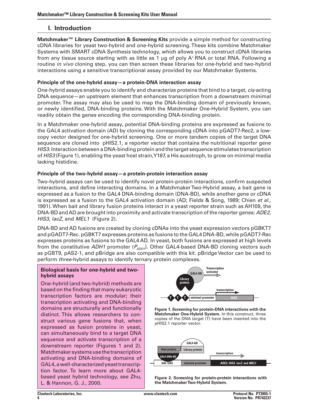# **I.** Introduction

**Matchmaker™ Library Construction & Screening Kits** provide a simple method for constructing cDNA libraries for yeast two-hybrid and one-hybrid screening.These kits combine Matchmaker Systems with SMART cDNA Synthesis technology, which allows you to construct cDNA libraries from any tissue source starting with as little as 1  $\mu$ g of poly A<sup>+</sup> RNA or total RNA. Following a routine *in vivo* cloning step, you can then screen these libraries for one-hybrid and two-hybrid interactions using a sensitive transcriptional assay provided by our Matchmaker Systems.

### **Principle of the one-hybrid assay—a protein-DNA interaction assay**

One-hybrid assays enable you to identify and characterize proteins that bind to a target, *cis*-acting DNA sequence—an upstream element that enhances transcription from a downstream minimal promoter. The assay may also be used to map the DNA-binding domain of previously known, or newly identified, DNA-binding proteins. With the Matchmaker One-Hybrid System, you can readily obtain the genes encoding the corresponding DNA-binding protein.

In a Matchmaker one-hybrid assay, potential DNA-binding proteins are expressed as fusions to the GAL4 activation domain (AD) by cloning the corresponding cDNA into pGADT7-Rec2, a lowcopy vector designed for one-hybrid screening. One or more tandem copies of the target DNA sequence are cloned into pHIS2.1, a reporter vector that contains the nutritional reporter gene *HIS3*. Interaction between a DNA-binding protein and the target sequence stimulates transcription of *HIS3* (Figure 1), enabling the yeast host strain,Y187, a His auxotroph, to grow on minimal media lacking histidine.

### **Principle of the two-hybrid assay—a protein-protein interaction assay**

Two-hybrid assays can be used to identify novel protein-protein interactions, confirm suspected interactions, and define interacting domains. In a MatchmakerTwo-Hybrid assay, a bait gene is expressed as a fusion to the GAL4 DNA-binding domain (DNA-BD), while another gene or cDNA is expressed as a fusion to the GAL4 activation domain (AD; Fields & Song, 1989; Chien *et al*., 1991).When bait and library fusion proteins interact in a yeast reporter strain such as AH109, the DNA-BD andAD are brought into proximity and activate transcription of the reporter genes: *ADE2, HIS3, lacZ,* and *MEL1* (Figure 2).

DNA-BD and AD fusions are created by cloning cDNAs into the yeast expression vectors pGBKT7 and pGADT7-Rec. pGBKT7 expresses proteins as fusions to the GAL4 DNA-BD, while pGADT7-Rec expresses proteins as fusions to the GAL4 AD. In yeast, both fusions are expressed at high levels from the constitutive *ADH1* promoter  $(P_{ADH1})$ . Other GAL4-based DNA-BD cloning vectors such as pGBT9, pAS2-1, and pBridge are also compatible with this kit. pBridge Vector can be used to perform *three*-hybrid assays to identify ternary protein complexes.

#### **Biological basis for one-hybrid and twohybrid assays**

One-hybrid (and two-hybrid) methods are based on the finding that many eukaryotic transcription factors are modular; their transcription activating and DNA-binding domains are structurally and functionally distinct. This allows researchers to construct various gene fusions that, when expressed as fusion proteins in yeast, can simultaneously bind to a target DNA sequence and activate transcription of a downstream reporter (Figures 1 and 2). Matchmaker systemsusethetranscription activating and DNA-binding domains of GAL4,awell-characterizedyeasttranscription factor. To learn more about GAL4 based yeast hybrid technology, see Zhu, L. & Hannon, G. J., 2000.



**Figure 1. Screening for protein-DNA interactions with the Matchmaker One-Hybrid System.** In this construct, three copies of the DNA target (T) have been inserted into the pHIS2.1 reporter vector.



**Figure 2. Screening for protein-protein interactions with the MatchmakerTwo-Hybrid System.**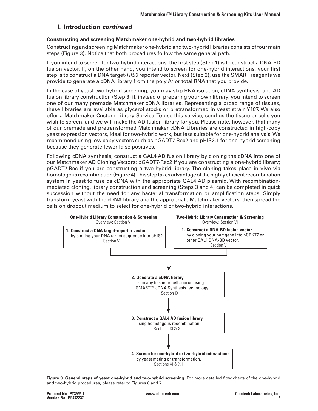# **I. Introduction** *continued*

### **Constructing and screening Matchmaker one-hybrid and two-hybrid libraries**

Constructing and screeningMatchmaker one-hybrid and two-hybrid libraries consists offourmain steps (Figure 3). Notice that both procedures follow the same general path.

If you intend to screen for two-hybrid interactions, the first step (Step 1) is to construct a DNA-BD fusion vector. If, on the other hand, you intend to screen for one-hybrid interactions, your first step is to construct a DNA target-*HIS3* reporter vector. Next (Step 2), use the SMART reagents we provide to generate a cDNA library from the poly  $A<sup>+</sup>$  or total RNA that you provide.

In the case of yeast two-hybrid screening, you may skip RNA isolation, cDNA synthesis, and AD fusion library construction (Step 3) if, instead of preparing your own library, you intend to screen one of our many premade Matchmaker cDNA libraries. Representing a broad range of tissues, these libraries are available as glycerol stocks or pretransformed in yeast strain Y187. We also offer a Matchmaker Custom Library Service.To use this service, send us the tissue or cells you wish to screen, and we will make the AD fusion library for you. Please note, however, that many of our premade and pretransformed Matchmaker cDNA Libraries are constructed in high-copy yeast expression vectors, ideal for two-hybrid work, but less suitable for one-hybrid analysis.We recommend using low copy vectors such as pGADT7-Rec2 and pHIS2.1 for one-hybrid screening because they generate fewer false positives.

Following cDNA synthesis, construct a GAL4 AD fusion library by cloning the cDNA into one of our Matchmaker AD Cloning Vectors: pGADT7-Rec2 if you are constructing a one-hybrid library; pGADT7-Rec if you are constructing a two-hybrid library. The cloning takes place in vivo via homologous recombination (Figure 4). This step takes advantage of the highly efficient recombination system in yeast to fuse ds cDNA with the appropriate GAL4 AD plasmid. With recombinationmediated cloning, library construction and screening (Steps 3 and 4) can be completed in quick succession without the need for any bacterial transformation or amplification steps. Simply transform yeast with the cDNA library and the appropriate Matchmaker vectors; then spread the cells on dropout medium to select for one-hybrid or two-hybrid interactions.



**Figure 3. General steps of yeast one-hybrid and two-hybrid screening.** For more detailed flow charts of the one-hybrid and two-hybrid procedures, please refer to Figures 6 and 7.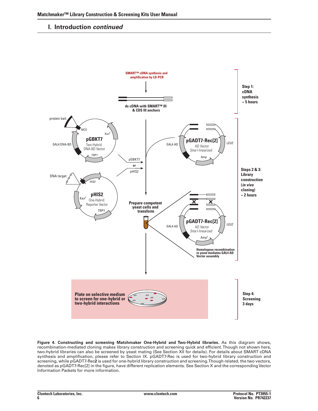### **I. Introduction** *continued*



**Figure 4. Constructing and screening Matchmaker One-Hybrid and Two-Hybrid libraries.** As this diagram shows, recombination-mediated cloning makes library construction and screening quick and efficient.Though not shown here, two-hybrid libraries can also be screened by yeast mating (See Section XII for details). For details about SMART cDNA synthesis and amplification, please refer to Section IX. pGADT7-Rec is used for two-hybrid library construction and screening, while pGADT7-Rec**2** is used for one-hybrid library construction and screening.Though related, the two vectors, denoted as pGADT7-Rec[2] in the figure, have different replication elements. See Section X and the corresponding Vector Information Packets for more information.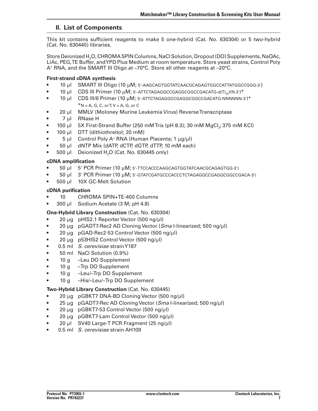# **II. List of Components**

This kit contains sufficient reagents to make 5 one-hybrid (Cat. No. 630304) or 5 two-hybrid (Cat. No. 630445) libraries.

Store Deionized H<sub>2</sub>O, CHROMA SPIN Columns, NaCl Solution, Dropout (DO) Supplements, NaOAc, LiAc, PEG,TE Buffer, andYPD Plus Medium at room temperature. Store yeast strains, Control Poly A+ RNA, and the SMART III Oligo at –70°C. Store all other reagents at –20°C.

### **First-strand cDNA synthesis**

- 10 µl SMART III Oligo (10 µM; 5'-AAGCAGTGGTATCAACGCAGAGTGGCCATTATGGCCGGG-3')
- 10 µl CDS III Primer (10 µM; 5'-ATTCTAGAGGCCGAGGCGGCCGACATG-d(T)<sub>30</sub>VN-3')<sup>\*</sup>
- 10 µl CDS III/6 Primer (10 µM; 5'-ATTCTAGAGGCCGAGGCCGGCCGACATG-NNNNNN-3')\*  $*N = A$ , G, C, or T;  $V = A$ , G, or C
- 20 µl MMLV (Moloney Murine Leukemia Virus) Reverse Transcriptase
- • 7 µl RNase H
- 100 µl 5X First-Strand Buffer (250 mM Tris (pH 8.3); 30 mM MgCl<sub>2</sub>; 375 mM KCl)
- 100 µl DTT (dithiothreitol; 20 mM)
- 5 µl Control Poly A<sup>+</sup> RNA (Human Placenta; 1 µg/µl)
- 50 µl dNTP Mix (dATP, dCTP, dGTP, dTTP, 10 mM each)
- 500  $\mu$ l Deionized H<sub>2</sub>O (Cat. No. 630445 only)

### **cDNA amplification**

- 50 µl 5' PCR Primer (10 µM; 5'-TTCCACCCAAGCAGTGGTATCAACGCAGAGTGG-3')
- • 50 µl 3' PCR Primer (10 µM; 5'-GTATCGATGCCCACCCTCTAGAGGCCGAGGCGGCCGACA-3')
- 500 µl 10X GC-Melt Solution

### **cDNA purification**

- 10 CHROMA SPIN+TE-400 Columns
- 300 µl Sodium Acetate (3 M; pH 4.8)

### **One-Hybrid Library Construction** (Cat. No. 630304)

- 20 µg pHIS2.1 Reporter Vector (500 ng/µl)
- • 20 µg pGADT7-Rec2 AD Cloning Vector (*Sma* I-linearized; 500 ng/µl)
- $20 \mu$ g pGAD-Rec2-53 Control Vector (500 ng/ $\mu$ l)
- 20 µg p53HIS2 Control Vector (500 ng/µl)
- • 0.5 ml *S. cerevisiae* strainY187
- 50 ml NaCl Solution (0.9%)
- 10 q –Leu DO Supplement
- 10 g Trp DO Supplement
- 10 g –Leu/–Trp DO Supplement
- 10 g His/–Leu/–Trp DO Supplement

### **Two-Hybrid Library Construction** (Cat. No. 630445)

- 20  $\mu$ g pGBKT7 DNA-BD Cloning Vector (500 ng/ $\mu$ l)
- 25 μg pGADT7-Rec AD Cloning Vector (*Sma* I-linearized; 500 ng/μl)
- $20 \mu$ g pGBKT7-53 Control Vector (500 ng/ $\mu$ l)
- $20 \mu g$  pGBKT7-Lam Control Vector (500 ng/ $\mu$ I)
- $20 \mu$  SV40 Large-T PCR Fragment (25 ng/ $\mu$ I)
- 0.5 ml *S. cerevisiae* strain AH109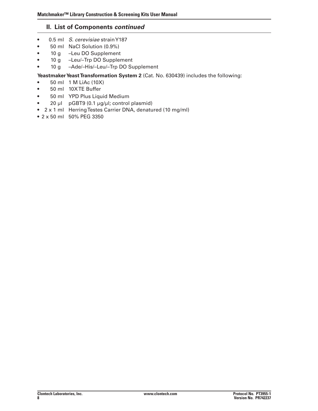# **II. List of Components** *continued*

- • 0.5 ml *S. cerevisiae* strainY187
- 50 ml NaCl Solution (0.9%)
- 10 g –Leu DO Supplement
- 10 g -Leu/-Trp DO Supplement
- 10 g -Ade/-His/-Leu/-Trp DO Supplement

### Yeastmaker Yeast Transformation System 2 (Cat. No. 630439) includes the following:

- $\bullet$  50 ml 1 M LiAc (10X)
- 50 ml 10XTE Buffer
- • 50 ml YPD Plus Liquid Medium
- 20 µl pGBT9 (0.1 µg/µl; control plasmid)
- 2 x 1 ml Herring Testes Carrier DNA, denatured (10 mg/ml)
- 2 x 50 ml 50% PEG 3350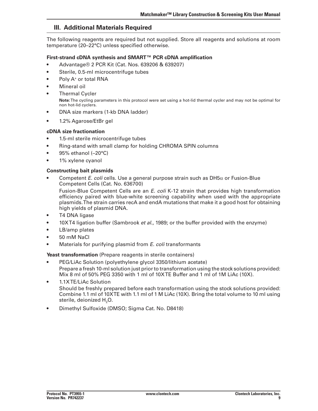### **III. Additional Materials Required**

The following reagents are required but not supplied. Store all reagents and solutions at room temperature (20–22°C) unless specified otherwise.

### **First-strand cDNA synthesis and SMART™ PCR cDNA amplification**

- • Advantage® 2 PCR Kit (Cat. Nos. 639206 & 639207)
- Sterile, 0.5-ml microcentrifuge tubes
- Poly A<sup>+</sup> or total RNA
- **Mineral oil**
- **Thermal Cycler Note:**The cycling parameters in this protocol were set using a hot-lid thermal cycler and may not be optimal for non hot-lid cyclers.
- **•**  DNA size markers (1-kb DNA ladder)
- 1.2% Agarose/EtBr gel

### **cDNA size fractionation**

- 1.5-ml sterile microcentrifuge tubes
- Ring-stand with small clamp for holding CHROMA SPIN columns
- $\bullet$  95% ethanol (-20°C)
- 1% xylene cyanol

### **Constructing bait plasmids**

Competent *E. coli* cells. Use a general purpose strain such as  $DH5\alpha$  or Fusion-Blue Competent Cells (Cat. No. 636700)

 Fusion-Blue Competent Cells are an *E. coli* K-12 strain that provides high transformation efficiency paired with blue-white screening capability when used with the appropriate plasmids.The strain carries recA and endA mutations that make it a good host for obtaining high yields of plasmid DNA.

- **T4 DNA ligase**
- • 10XT4 ligation buffer (Sambrook *et al*., 1989; or the buffer provided with the enzyme)
- LB/amp plates
- 50 mM NaCl
- • Materials for purifying plasmid from *E. coli* transformants

**Yeast transformation** (Prepare reagents in sterile containers)

- • PEG/LiAc Solution (polyethylene glycol 3350/lithium acetate) Prepare a fresh 10-ml solution just prior to transformation using the stock solutions provided: Mix 8 ml of 50% PEG 3350 with 1 ml of 10XTE Buffer and 1 ml of 1M LiAc (10X).
- • 1.1XTE/LiAc Solution Should be freshly prepared before each transformation using the stock solutions provided: Combine 1.1 ml of 10XTE with 1.1 ml of 1 M LiAc (10X). Bring the total volume to 10 ml using sterile, deionized H<sub>2</sub>O.
- Dimethyl Sulfoxide (DMSO; Sigma Cat. No. D8418)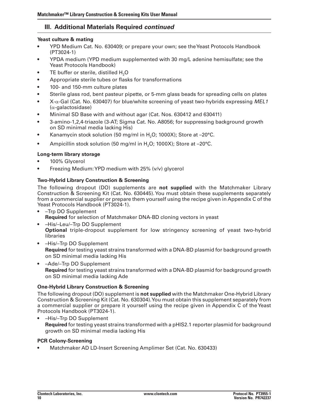# **III. Additional Materials Required** *continued*

### **Yeast culture & mating**

- YPD Medium Cat. No. 630409; or prepare your own; see the Yeast Protocols Handbook (PT3024-1)
- YPDA medium (YPD medium supplemented with 30 mg/L adenine hemisulfate; see the Yeast Protocols Handbook)
- TE buffer or sterile, distilled H<sub>2</sub>O
- Appropriate sterile tubes or flasks for transformations
- 100- and 150-mm culture plates
- Sterile glass rod, bent pasteur pipette, or 5-mm glass beads for spreading cells on plates
- • X-α-Gal (Cat. No. 630407) for blue/white screening of yeast two-hybrids expressing *MEL1*  (α-galactosidase)
- Minimal SD Base with and without agar (Cat. Nos. 630412 and 630411)
- 3-amino-1,2,4-triazole (3-AT; Sigma Cat. No. A8056; for suppressing background growth on SD minimal media lacking His)
- Kanamycin stock solution (50 mg/ml in  $H<sub>2</sub>O$ ; 1000X); Store at  $-20^{\circ}$ C.
- Ampicillin stock solution (50 mg/ml in  $H<sub>2</sub>O$ ; 1000X); Store at  $-20^{\circ}$ C.

### **Long-term library storage**

- 100% Glycerol
- Freezing Medium: YPD medium with  $25\%$  (v/v) glycerol

### **Two-Hybrid Library Construction & Screening**

The following dropout (DO) supplements are **not supplied** with the Matchmaker Library Construction & Screening Kit (Cat. No. 630445).You must obtain these supplements separately from a commercial supplier or prepare them yourself using the recipe given in Appendix C of the Yeast Protocols Handbook (PT3024-1).

- • –Trp DO Supplement **Required** for selection of Matchmaker DNA-BD cloning vectors in yeast
- -His/-Leu/-Trp DO Supplement **Optional** triple-dropout supplement for low stringency screening of yeast two-hybrid libraries
- –His/–Trp DO Supplement **Required** for testing yeast strains transformed with a DNA-BD plasmid for background growth on SD minimal media lacking His
- $-\text{Ade}/-\text{Trp DO Supplementary}$ **Required** for testing yeast strains transformed with a DNA-BD plasmid for background growth on SD minimal media lacking Ade

### **One-Hybrid Library Construction & Screening**

The following dropout (DO) supplement is **not supplied** with the Matchmaker One-Hybrid Library Construction & Screening Kit (Cat. No. 630304).You must obtain this supplement separately from a commercial supplier or prepare it yourself using the recipe given in Appendix C of theYeast Protocols Handbook (PT3024-1).

-His/-Trp DO Supplement **Required** for testing yeast strains transformed with a pHIS2.1 reporter plasmid for background growth on SD minimal media lacking His

### **PCR Colony-Screening**

Matchmaker AD LD-Insert Screening Amplimer Set (Cat. No. 630433)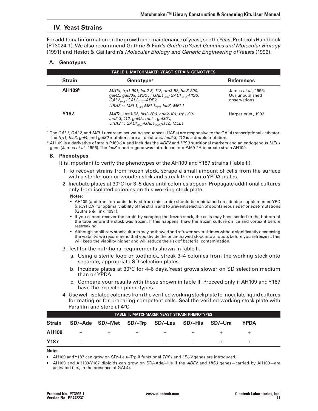### **IV. Yeast Strains**

For additional information on the growth and maintenance of yeast, see the Yeast Protocols Handbook (PT3024-1).We also recommend Guthrie & Fink's *Guide to Yeast Genetics and Molecular Biology*  (1991) and Heslot & Gaillardin's *Molecular Biology and Genetic Engineering of Yeasts* (1992).

#### **A. Genotypes**

|                    | TABLE I. MATCHMAKER YEAST STRAIN GENOTYPES                                                                                                                                                                                                                  |                                                        |  |  |  |  |  |
|--------------------|-------------------------------------------------------------------------------------------------------------------------------------------------------------------------------------------------------------------------------------------------------------|--------------------------------------------------------|--|--|--|--|--|
| <b>Strain</b>      | <b>Genotype</b> <sup>a</sup>                                                                                                                                                                                                                                | <b>References</b>                                      |  |  |  |  |  |
| AH109 <sup>b</sup> | MATa, trp1-901, leu2-3, 112, ura3-52, his3-200,<br>gal $4\Delta$ , gal $80\Delta$ , LYS2 : : GAL $1_{\text{max}}$ -GAL $1_{\text{max}}$ -HIS3,<br>$GAL2_{1/45}$ -GAL $2_{TAT4}$ -ADE2,<br>URA3 : : MEL1 $_{\text{IIAS}}$ -MEL1 $_{\text{TATA}}$ -lacZ, MEL1 | James et al., 1996;<br>Our unpublished<br>observations |  |  |  |  |  |
| <b>Y187</b>        | $MATa$ , ura3-52, his3-200, ade2-101, trp1-901,<br>leu2-3, 112, gal $4\Delta$ , met-, gal $80\Delta$ ,<br>URA3 :: GAL1 $_{\text{ILAS}}$ -GAL1 $_{\text{TATA}}$ -lacZ, MEL1                                                                                  | Harper <i>et al.</i> , 1993                            |  |  |  |  |  |

<sup>a</sup> The *GAL1*, *GAL2*, and *MEL1* upstream activating sequences (UASs) are responsive to the GAL4 transcriptional activator. The *trp1, his3, gal4,* and *gal80* mutations are all deletions; *leu2-3, 112* is a double mutation.

<sup>b</sup> AH109 is a derivative of strain PJ69-2A and includes the *ADE2* and *HIS3* nutritional markers and an endogenous *MEL1*  gene (James *et al*., 1996).The *lacZ* reporter gene was introduced into PJ69-2A to create strain AH109.

#### **B. Phenotypes**

 It is important to verify the phenotypes of the AH109 andY187 strains (Table II).

- 1. To recover strains from frozen stock, scrape a small amount of cells from the surface with a sterile loop or wooden stick and streak them onto YPDA plates.
- 2. Incubate plates at 30°C for 3–5 days until colonies appear. Propagate additional cultures only from isolated colonies on this working stock plate.

#### **Notes:**

- • AH109 (and transformants derived from this strain) should be maintained on adenine-supplementedYPD (i.e.,YPDA) for optimal viability of the strain and to prevent selection of spontaneous *ade1* or *ade5* mutations (Guthrie & Fink, 1991).
- • If you cannot recover the strain by scraping the frozen stock, the cells may have settled to the bottom of the tube before the stock was frozen. If this happens, thaw the frozen culture on ice and vortex it before restreaking.
- Although nonlibrary stock cultures may be thawed and refrozen several times without significantly decreasing the viability, we recommend that you divide the once-thawed stock into aliquots before you refreeze it.This will keep the viability higher and will reduce the risk of bacterial contamination.
- 3. Test for the nutritional requirements shown in Table II.
	- a. Using a sterile loop or toothpick, streak 3–4 colonies from the working stock onto separate, appropriate SD selection plates.
	- b. Incubate plates at 30°C for 4–6 days. Yeast grows slower on SD selection medium than onYPDA.
	- c. Compare your results with those shown in Table II. Proceed only if AH109 and Y187 have the expected phenotypes.
- 4. Use well-isolated colonies from the verified working stock plate to inoculate liquid cultures for mating or for preparing competent cells. Seal the verified working stock plate with **Parafilm and store at 4°C.**

|                  | TABLE II. MATCHMAKER YEAST STRAIN PHENOTYPES |  |  |                                                 |  |  |      |  |
|------------------|----------------------------------------------|--|--|-------------------------------------------------|--|--|------|--|
| <b>Strain</b>    |                                              |  |  | SD/-Ade SD/-Met SD/-Trp SD/-Leu SD/-His SD/-Ura |  |  | YPDA |  |
| <b>AH109</b>     | $\overline{\phantom{m}}$                     |  |  |                                                 |  |  |      |  |
| Y <sub>187</sub> |                                              |  |  |                                                 |  |  |      |  |

#### **Notes:**

• AH109 andY187 can grow on SD/–Leu/–Trp if functional *TRP1* and *LEU2* genes are introduced.

AH109 and AH109/Y187 diploids can grow on SD/-Ade/-His if the *ADE2* and *HIS3* genes-carried by AH109-are activated (i.e., in the presence of GAL4).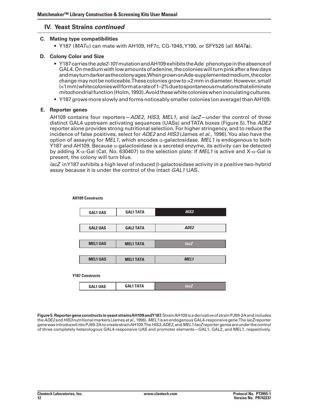### **IV. Yeast Strains** *continued*

### **C. Mating type compatibilities**

 • Y187 (*MAT*α) can mate with AH109, HF7c, CG-1945,Y190, or SFY526 (all *MAT***a**).

### **D. Colony Color and Size**

- • Y187carriesthe*ade2-101*mutationandAH109exhibitstheAde–phenotypeintheabsenceof GAL4. On medium with low amounts of adenine, the colonies will turn pink after a few days andmayturndarkerasthecolonyages.WhengrownonAde-supplementedmedium,thecolor change may not be noticeable. These colonies grow to >2 mm in diameter. However, small (<1mm)whitecolonieswillformatarateof1–2%duetospontaneousmutationsthateliminate mitochondrial function (Holm, 1993). Avoid these white colonies when inoculating cultures.
- • Y187 grows more slowly and forms noticeably smaller colonies (on average) thanAH109.

### **E. Reporter genes**

AH109 contains four reporters—*ADE2*, *HIS3*, *MEL1,* and *lacZ*—under the control of three distinct GAL4 upstream activating sequences (UASs) andTATA boxes (Figure 5).The *ADE2*  reporter alone provides strong nutritional selection. For higher stringency, and to reduce the incidence of false positives, select for *ADE2* and *HIS3* (James *et al*., 1996).You also have the option of assaying for *MEL1*, which encodes α-galactosidase. *MEL1* is endogenous to both Y187 and AH109. Because  $\alpha$ -galactosidase is a secreted enzyme, its activity can be detected by adding X-α-Gal (Cat. No. 630407) to the selection plate: If *MEL1* is active and X-α-Gal is present, the colony will turn blue.

*lacZ* inY187 exhibits a high level of induced β-galactosidase activity in a positive two-hybrid assay because it is under the control of the intact *GAL1* UAS.

| <b>GAL1 UAS</b>        | <b>GAL1 TATA</b> | HIS <sub>3</sub> |
|------------------------|------------------|------------------|
|                        |                  |                  |
| <b>GAL2 UAS</b>        | <b>GAL2 TATA</b> | ADE2             |
|                        |                  |                  |
| <b>MEL1 UAS</b>        | <b>MEL1 TATA</b> | lacZ             |
|                        |                  |                  |
| <b>MEL1 UAS</b>        | <b>MEL1 TATA</b> | MEL <sub>1</sub> |
|                        |                  |                  |
| <b>Y187 Constructs</b> |                  |                  |
| <b>GAL1 UAS</b>        | <b>GAL1 TATA</b> | lacZ             |

**AH109 Constructs**

**Figure5.Reportergeneconstructs inyeast strainsAH109andY187.**StrainAH109isaderivativeof strainPJ69-2Aandincludes the*ADE2*and*HIS3*nutritionalmarkers (James*et al.*,1996).*MEL1*isanendogenousGAL4-responsivegene.The*lacZ* reporter genewas introducedintoPJ69-2AtocreatestrainAH109.The*HIS3, ADE2,*and*MEL1/lacZ* reportergenesareunderthecontrol of three completely heterologous GAL4-responsive UAS and promoter elements—GAL1, GAL2, and MEL1, respectively.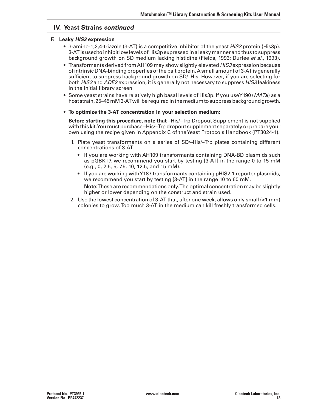### **IV. Yeast Strains** *continued*

#### **F. Leaky** *HIS3* **expression**

- • 3-amino-1,2,4-triazole (3-AT) is a competitive inhibitor of the yeast *HIS3* protein (His3p). 3-ATisusedtoinhibitlowlevelsofHis3pexpressedinaleakymannerandthus tosuppress background growth on SD medium lacking histidine (Fields, 1993; Durfee *et al*., 1993).
- • Transformants derived fromAH109 may show slightly elevated *HIS3* expression because of intrinsic DNA-binding properties of the bait protein. A small amount of 3-AT is generally sufficient to suppress background growth on SD/–His. However, if you are selecting for both *HIS3* and *ADE2* expression, it is generally not necessary to suppress *HIS3* leakiness in the initial library screen.
- • Some yeast strains have relatively high basal levels of His3p. If you useY190 (*MAT***a**) as a host strain,25–45mM3-ATwillberequiredinthemediumtosuppressbackgroundgrowth.
- • **To optimize the 3-AT concentration in your selection medium:**

 **Before starting this procedure, note that** –His/–Trp Dropout Supplement is not supplied with this kit.You must purchase –His/–Trp dropout supplement separately or prepare your own using the recipe given in Appendix C of theYeast Protocols Handbook (PT3024-1).

- 1. Plate yeast transformants on a series of SD/-His/-Trp plates containing different concentrations of 3-AT.
	- If you are working with AH109 transformants containing DNA-BD plasmids such as pGBKT7, we recommend you start by testing [3-AT] in the range 0 to 15 mM (e.g., 0, 2.5, 5, 7.5, 10, 12.5, and 15 mM).
	- If you are working withY187 transformants containing pHIS2.1 reporter plasmids, we recommend you start by testing [3-AT] in the range 10 to 60 mM. **Note:**These are recommendations only.The optimal concentration may be slightly higher or lower depending on the construct and strain used.
- 2. Use the lowest concentration of 3-AT that, after one week, allows only small (<1 mm) colonies to grow.Too much 3-AT in the medium can kill freshly transformed cells.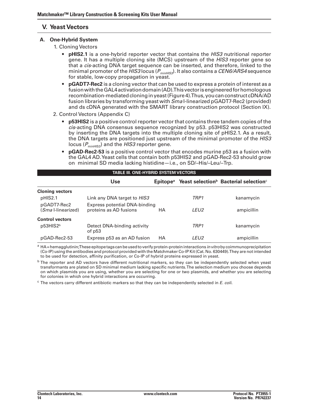# **V. Yeast Vectors**

### **A. One-Hybrid System**

- 1. Cloning Vectors
	- • **pHIS2.1** is a one-hybrid reporter vector that contains the *HIS3* nutritional reporter gene. It has a multiple cloning site (MCS) upstream of the *HIS3* reporter gene so that a *cis*-acting DNA target sequence can be inserted, and therefore, linked to the minimal promoter of the *HIS3* locus (*PminHIS3*). It also contains a *CEN6/ARS4* sequence for stable, low-copy propagation in yeast.
	- **pGADT7-Rec2** is a cloning vector that can be used to express a protein of interest as a fusion with the GAL4 activation domain (AD). This vector is engineered for homologous recombination-mediated cloning in yeast (Figure 4). Thus, you can construct cDNA/AD fusion libraries by transforming yeast with *Sma* I-linearized pGADT7-Rec2 (provided) and ds cDNA generated with the SMART library construction protocol (Section IX).
- 2. Control Vectors (Appendix C)
	- **p53HIS2** is a positive control reporter vector that contains three tandem copies of the *cis*-acting DNA consensus sequence recognized by p53. p53HIS2 was constructed by inserting the DNA targets into the multiple cloning site of pHIS2.1. As a result, the DNA targets are positioned just upstream of the minimal promoter of the *HIS3* locus ( $P_{\text{minHIS3}}$ ) and the *HIS3* reporter gene.
	- **pGAD-Rec2-53** is a positive control vector that encodes murine p53 as a fusion with the GAL4 AD.Yeast cells that contain both p53HIS2 and pGAD-Rec2-53 should grow on minimal SD media lacking histidine—i.e., on SD/–His/–Leu/–Trp.

|                                           | TABLE III. ONE-HYBRID SYSTEM VECTORS                    |                      |                  |                                                               |  |  |
|-------------------------------------------|---------------------------------------------------------|----------------------|------------------|---------------------------------------------------------------|--|--|
|                                           | <b>Use</b>                                              | Epitope <sup>a</sup> |                  | Yeast selection <sup>b</sup> Bacterial selection <sup>c</sup> |  |  |
| <b>Cloning vectors</b>                    |                                                         |                      |                  |                                                               |  |  |
| pHIS2.1                                   | Link any DNA target to HIS3                             |                      | TRP <sub>1</sub> | kanamycin                                                     |  |  |
| pGADT7-Rec2<br>( <i>Sma</i> l-linearized) | Express potential DNA-binding<br>proteins as AD fusions | НA                   | LEU2             | ampicillin                                                    |  |  |
| <b>Control vectors</b>                    |                                                         |                      |                  |                                                               |  |  |
| p53HIS2 <sup>b</sup>                      | Detect DNA-binding activity<br>of p53                   |                      | TRP1             | kanamycin                                                     |  |  |
| pGAD-Rec2-53                              | Express p53 as an AD fusion                             | HA                   | LEU2             | ampicillin                                                    |  |  |

<sup>a</sup> HA=hemagglutinin;These epitope tags can be used to verify protein-protein interactions *in vitro* by coimmunoprecipitation (Co-IP) using the antibodies and protocol provided with the Matchmaker Co-IP Kit (Cat. No. 630449).They are not intended to be used for detection, affinity purification, or Co-IP of hybrid proteins expressed in yeast.

<sup>b</sup> The reporter and AD vectors have different nutritional markers, so they can be independently selected when yeast transformants are plated on SD minimal medium lacking specific nutrients.The selection medium you choose depends on which plasmids you are using, whether you are selecting for one or two plasmids, and whether you are selecting for colonies in which one hybrid interactions are occurring.

<sup>c</sup> The vectors carry different antibiotic markers so that they can be independently selected in *E. coli.*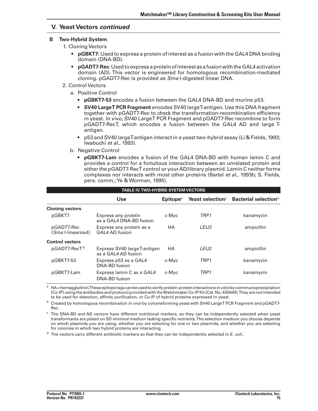### **V. Yeast Vectors** *continued*

#### **B Two-Hybrid System**

 1. Cloning Vectors

- • **pGBKT7:** Used to express a protein of interest as a fusion with the GAL4 DNA binding domain (DNA-BD).
- **pGADT7-Rec**: Used to express a protein of interest as a fusion with the GAL4 activation domain (AD). This vector is engineered for homologous recombination-mediated cloning. pGADT7-Rec is provided as *Sma* I-digested linear DNA.
- 2. Control Vectors
	- a. Positive Control
		- • **pGBKT7-53** encodes a fusion between the GAL4 DNA-BD and murine p53.
		- • **SV40 LargeT PCR Fragment** encodes SV40 largeT-antigen. Use this DNA fragment together with pGADT7-Rec to check the transformation-recombination efficiency in yeast. *In vivo*, SV40 LargeT PCR Fragment and pGADT7-Rec recombine to form pGADT7-RecT, which encodes a fusion between the GAL4 AD and large Tantigen.
		- p53 and SV40 largeT-antigen interact in a yeast two-hybrid assay (Li & Fields, 1993; Iwabuchi *et al.*, 1993).
	- b. Negative Control
		- **• pGBKT7-Lam** encodes a fusion of the GAL4 DNA-BD with human lamin C and provides a control for a fortuitous interaction between an unrelated protein and either the pGADT7-RecT control or your AD/library plasmid. Lamin C neither forms complexes nor interacts with most other proteins (Bartel *et al*., 1993b; S. Fields, pers. comm.;Ye & Worman, 1995).

|                                          | <b>TABLE IV. TWO-HYBRID SYSTEM VECTORS</b>          |                             |                              |                                  |  |
|------------------------------------------|-----------------------------------------------------|-----------------------------|------------------------------|----------------------------------|--|
|                                          | <b>Use</b>                                          | <b>Epitope</b> <sup>a</sup> | Yeast selection <sup>c</sup> | Bacterial selection <sup>d</sup> |  |
| <b>Cloning vectors</b>                   |                                                     |                             |                              |                                  |  |
| pGBKT7                                   | Express any protein<br>as a GAL4 DNA-BD fusion      | c-Myc                       | TRP <sub>1</sub>             | kanamycin                        |  |
| pGADT7-Rec<br>( <i>Sma</i> l-linearized) | Express any protein as a<br>GAL4 AD fusion          | НA                          | LEU <sub>2</sub>             | ampicillin                       |  |
| <b>Control vectors</b>                   |                                                     |                             |                              |                                  |  |
| pGADT7-RecT <sup>b</sup>                 | Express SV40 large T-antigen<br>as a GAL4 AD fusion | <b>HA</b>                   | LEU <sub>2</sub>             | ampicillin                       |  |
| pGBKT7-53                                | Express p53 as a GAL4<br>DNA-BD fusion              | c-Myc                       | TRP <sub>1</sub>             | kanamycin                        |  |
| pGBKT7-Lam                               | Express lamin C as a GAL4<br>DNA-BD fusion          | c-Myc                       | TRP1                         | kanamycin                        |  |

<sup>a</sup> HA=hemagglutinin;These epitope tags can be used to verify protein-protein interactions *in vitro* by coimmunoprecipitation (Co-IP) using the antibodies and protocol provided with the Matchmaker Co-IPKit (Cat. No. 630449). They are not intended to be used for detection, affinity purification, or Co-IP of hybrid proteins expressed in yeast.

<sup>b</sup> Created by homologous recombination *in vivo* by cotransforming yeast with SV40 LargeT PCR Fragment and pGADT7-Rec.

 $c$  The DNA-BD and AD vectors have different nutritional markers, so they can be independently selected when yeast transformants are plated on SD minimal medium lacking specific nutrients.The selection medium you choose depends on which plasmids you are using, whether you are selecting for one or two plasmids, and whether you are selecting for colonies in which two hybrid proteins are interacting.

<sup>d</sup> The vectors carry different antibiotic markers so that they can be independently selected in *E. coli.*.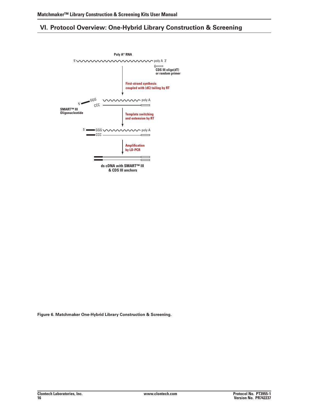# **VI. Protocol Overview: One-Hybrid Library Construction & Screening**



**Figure 6. Matchmaker One-Hybrid Library Construction & Screening.**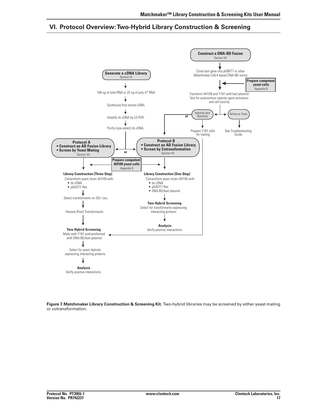# **VI. Protocol Overview:Two-Hybrid Library Construction & Screening**



**Figure 7. Matchmaker Library Construction & Screening Kit.** Two-hybrid libraries may be screened by either yeast mating or cotransformation.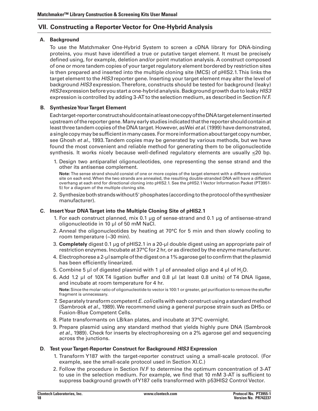# **VII. Constructing a Reporter Vector for One-Hybrid Analysis**

### **A. Background**

 To use the Matchmaker One-Hybrid System to screen a cDNA library for DNA-binding proteins, you must have identified a true or putative target element. It must be precisely defined using, for example, deletion and/or point mutation analysis. A construct composed of one or more tandem copies of your target regulatory element bordered by restriction sites is then prepared and inserted into the multiple cloning site (MCS) of pHIS2.1.This links the target element to the *HIS3* reporter gene. Inserting your target element may alter the level of background *HIS3* expression.Therefore, constructs should be tested for background (leaky) *HIS3* expression before you start a one-hybrid analysis.Background growth due to leaky *HIS3* expression is controlled by adding 3-AT to the selection medium, as described in Section IV.F.

### **B. SynthesizeYourTarget Element**

 Eachtarget-reporterconstructshouldcontainatleastonecopyoftheDNAtargetelementinserted upstreamofthereportergene.Manyearlystudies indicatedthatthereporter shouldcontainat leastthree tandem copies ofthe DNA target. However, asWei *et al.* (1999) have demonstrated, asinglecopymaybesufficientinmanycases.Formoreinformationabouttarget copynumber, see Ghosh *et al.,* 1993.Tandem copies may be generated by various methods, but we have found the most convenient and reliable method for generating them to be oligonucleotide synthesis. It works nicely because well-defined regulatory elements are usually <20 bp.

1. Design two antiparallel oligonucleotides, one representing the sense strand and the other its antisense complement.

 **Note:** The sense strand should consist of one or more copies of the target element with a different restriction site on each end.When the two strands are annealed, the resulting double-stranded DNA will have a different overhang at each end for directional cloning into pHIS2.1. See the pHIS2.1 Vector Information Packet (PT3951-5) for a diagram of the multiple cloning site.

2. Synthesize both strands without 5' phosphates (according to the protocol of the synthesizer manufacturer).

#### **C. InsertYour DNATarget into the Multiple Cloning Site of pHIS2.1**

- 1. For each construct planned, mix 0.1  $\mu$ g of sense-strand and 0.1  $\mu$ g of antisense-strand oligonucleotide in 10 µl of 50 mM NaCl.
- 2. Anneal the oligonucleotides by heating at  $70^{\circ}$ C for 5 min and then slowly cooling to room temperature (~30 min).
- 3. **Completely** digest 0.1 µg of pHIS2.1 in a 20-µl double digest using an appropriate pair of restriction enzymes. Incubate at 37°C for 2 hr, or as directed by the enzyme manufacturer.
- 4. Electrophorese a 2-µl sample of the digest on a 1% agarose gel to confirm that the plasmid has been efficiently linearized.
- 5. Combine 5 µl of digested plasmid with 1 µl of annealed oligo and 4 µl of H<sub>2</sub>O.
- 6. Add 1.2  $\mu$  of 10X T4 ligation buffer and 0.8  $\mu$  (at least 0.8 units) of T4 DNA ligase, and incubate at room temperature for 4 hr. Note: Since the molar ratio of oligonucleotide to vector is 100:1 or greater, gel purification to remove the stuffer fragment is unnecessary.
- 7. Separately transform competent *E. coli* cells with each construct using a standard method (Sambrook *et al.,* 1989). We recommend using a general purpose strain such as DH5 $\alpha$  or Fusion-Blue Competent Cells.
- 8. Plate transformants on LB/kan plates, and incubate at 37°C overnight.
- 9. Prepare plasmid using any standard method that yields highly pure DNA (Sambrook *et al*., 1989). Check for inserts by electrophoresing on a 2% agarose gel and sequencing across the junctions.

### **D. Test yourTarget-Reporter Construct for Background** *HIS3* **Expression**

- 1. Transform Y187 with the target-reporter construct using a small-scale protocol. (For example, see the small-scale protocol used in Section XI.C.)
- 2. Follow the procedure in Section IV.F to determine the optimum concentration of 3-AT to use in the selection medium. For example, we find that 10 mM 3-AT is sufficient to suppress background growth ofY187 cells transformed with p53HIS2 Control Vector.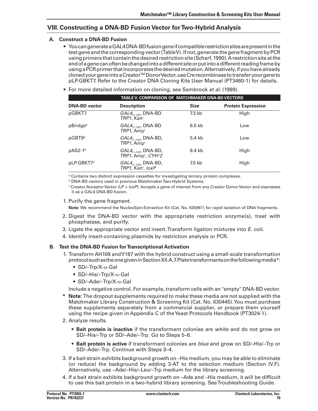# **VIII. Constructing a DNA-BD Fusion Vector forTwo-Hybrid Analysis**

### **A. Construct a DNA-BD Fusion**

- $\bullet$  You can generate a GAL4DNA-BD fusion gene if compatible restriction sites are present in the test gene and the corresponding vector (TableV). If not, generate the gene fragment by PCR using primers that contain the desired restriction site (Scharf, 1990). A restriction site at the endofagenecanoftenbechangedintoadifferentsiteorputintoadifferentreadingframeby using a PCR primer that incorporates the desired mutation. Alternatively, if you have already clonedyourgeneintoaCreatorTM DonorVector,useCrerecombinasetotransferyourgeneto pLP-GBKT7. Refer to the Creator DNA Cloning Kits User Manual (PT3460-1) for details.
- • For more detailed information on cloning, see Sambrook *et al*. (1989).

|                        |                                                                 | TABLE V. COMPARISON OF MATCHMAKER DNA-BD VECTORS |                           |  |  |
|------------------------|-----------------------------------------------------------------|--------------------------------------------------|---------------------------|--|--|
| <b>DNA-BD</b> vector   | <b>Description</b>                                              | <b>Size</b>                                      | <b>Protein Expression</b> |  |  |
| pGBKT7                 | $GAL4_{(1-147)}$ DNA-BD<br>TRP1, Kan'                           | $7.3$ kb                                         | High                      |  |  |
| pBridge <sup>a</sup>   | $GAL4_{(1-147)}$ DNA-BD<br>TRP1, Amp <sup>r</sup>               | $6.5$ kb                                         | Low                       |  |  |
| pGBT9 <sup>b</sup>     | $GAL4_{(1-147)}$ DNA-BD,<br>TRP1, Amp <sup>r</sup>              | 5.4 kb                                           | Low                       |  |  |
| $pAS2-1b$              | $GAL4_{(1-147)}$ DNA-BD,<br>$TRP1$ , Amp <sup>r</sup> , $CYHs2$ | 8.4 kb                                           | High                      |  |  |
| pLP-GBKT7 <sup>c</sup> | $GAL4_{(1-147)}$ DNA-BD,<br>TRP1, Kan', loxP                    | 7.5 kb                                           | High                      |  |  |

<sup>a</sup> Contains two distinct expression cassettes for investigating ternary protein complexes.

**b DNA-BD vectors used in previous MatchmakerTwo-Hybrid Systems.** 

<sup>c</sup> Creator Acceptor Vector (LP = *loxP*). Accepts a gene of interest from any Creator Donor Vector and expresses it as a GAL4 DNA-BD fusion.

1. Purify the gene fragment.

**Note:** We recommend the NucleoSpin Extraction Kit (Cat. No. 635961) for rapid isolation of DNA fragments.

- 2. Digest the DNA-BD vector with the appropriate restriction enzyme(s), treat with phosphatase, and purify.
- 3. Ligate the appropriate vector and insert. Transform ligation mixtures into *E. coli*.
- 4. Identify insert-containing plasmids by restriction analysis or PCR.

### **B. Test the DNA-BD Fusion forTranscriptional Activation**

- 1. Transform AH109 and Y187 with the hybrid construct using a small-scale transformation protocol such as the one given in Section XII.A.7. Plate transformants on the following media\*:
	- SD/–Trp/X- $\alpha$ -Gal
	- SD/-His/-Trp/X-α-Gal
	- $SD$ /-Ade/-Trp/X- $\alpha$ -Gal

 Include a negative control. For example, transform cells with an "empty" DNA-BD vector.

- **Note:** The dropout supplements required to make these media are not supplied with the Matchmaker Library Construction & Screening Kit (Cat. No. 630445).You must purchase these supplements separately from a commercial supplier, or prepare them yourself using the recipe given in Appendix C of theYeast Protocols Handbook (PT3024-1).
- 2. Analyze results.
	- • **Bait protein is inactive** if the transformant colonies are *white* and do not grow on SD/–His/–Trp or SD/–Ade/–Trp. Go to Steps 5–6.
	- • **Bait protein is active** if transformant colonies are *blue* and grow on SD/–His/–Trp or SD/–Ade/–Trp. Continue with Steps 3–4.
- 3. If a bait strain exhibits background growth on -His medium, you may be able to eliminate (or reduce) the background by adding 3-AT to the selection medium (Section IV.F). Alternatively, use –Ade/–His/–Leu/–Trp medium for the library screening.
- 4. If a bait strain exhibits background growth on -Ade and -His medium, it will be difficult to use this bait protein in a two-hybrid library screening. SeeTroubleshooting Guide.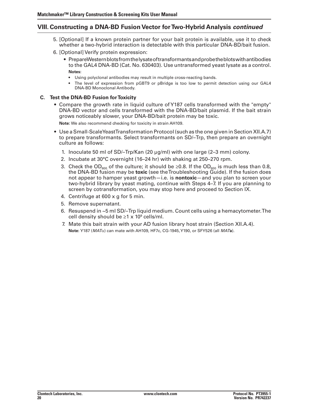# **VIII. Constructing a DNA-BD Fusion Vector forTwo-Hybrid Analysis** *continued*

- 5. [Optional] If a known protein partner for your bait protein is available, use it to check whether a two-hybrid interaction is detectable with this particular DNA-BD/bait fusion.
- 6. [Optional] Verify protein expression:
	- PrepareWesternblotsfromthelysate of transformants and probethe blots with antibodies to the GAL4 DNA-BD (Cat. No. 630403). Use untransformed yeast lysate as a control.  **Notes:**
		- • Using polyclonal antibodies may result in multiple cross-reacting bands.
		- The level of expression from pGBT9 or pBridge is too low to permit detection using our GAL4 DNA-BD Monoclonal Antibody.

#### **C. Test the DNA-BD Fusion forToxicity**

 • Compare the growth rate in liquid culture of Y187 cells transformed with the "empty" DNA-BD vector and cells transformed with the DNA-BD/bait plasmid. If the bait strain grows noticeably slower, your DNA-BD/bait protein may be toxic.

 **Note:** We also recommend checking for toxicity in strain AH109.

- Use a Small-Scale Yeast Transformation Protocol (such as the one given in Section XII.A.7) to prepare transformants. Select transformants on SD/–Trp, then prepare an overnight culture as follows:
	- 1. Inoculate 50 ml of SD/–Trp/Kan (20  $\mu$ g/ml) with one large (2–3 mm) colony.
	- 2. Incubate at 30°C overnight (16–24 hr) with shaking at 250–270 rpm.
- 3. Check the OD $_{600}$  of the culture; it should be ≥0.8. If the OD $_{600}$  is much less than 0.8, the DNA-BD fusion may be **toxic** (see theTroubleshooting Guide). If the fusion does not appear to hamper yeast growth—i.e. is **nontoxic**—and you plan to screen your two-hybrid library by yeast mating, continue with Steps 4–7. If you are planning to screen by cotransformation, you may stop here and proceed to Section IX.
	- 4. Centrifuge at 600 x g for 5 min.
	- 5. Remove supernatant.
	- 6. Resuspend in  $\sim$ 5 ml SD/–Trp liquid medium. Count cells using a hemacytometer. The cell density should be  $\geq 1 \times 10^9$  cells/ml.
	- 7. Mate this bait strain with your AD fusion library host strain (Section XII.A.4). **Note:** Y187 (*MAT*α) can mate with AH109, HF7c, CG-1945,Y190, or SFY526 (all *MAT***a**).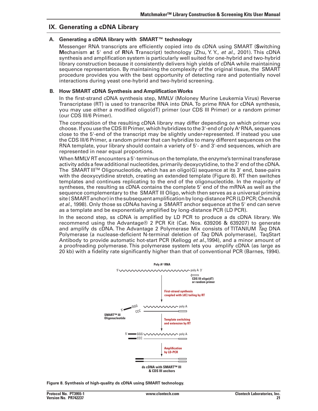# **IX. Generating a cDNA Library**

#### **A. Generating a cDNA library with SMART™ technology**

Messenger RNA transcripts are efficiently copied into ds cDNA using SMART (**S**witching **M**echanism **a**t 5' end of **R**NA **T**ranscript) technology (Zhu, Y. Y., *et al.,* 2001). This cDNA synthesis and amplification system is particularly well suited for one-hybrid and two-hybrid library construction because it consistently delivers high yields of cDNA while maintaining sequence representation. By maintaining the complexity of the original tissue, the SMART procedure provides you with the best opportunity of detecting rare and potentially novel interactions during yeast one-hybrid and two-hybrid screening.

#### **B. How SMART cDNA Synthesis and Amplification Works**

In the first-strand cDNA synthesis step, MMLV (Moloney Murine Leukemia Virus) Reverse Transcriptase (RT) is used to transcribe RNA into DNA.To prime RNA for cDNA synthesis, you may use either a modified oligo(dT) primer (our CDS III Primer) or a random primer (our CDS III/6 Primer).

The composition of the resulting cDNA library may differ depending on which primer you choose. If you use the CDS III Primer, which hybridizes to the  $3'$ -end of poly  $A<sup>+</sup>RNA$ , sequences close to the 5'-end of the transcript may be slightly under-represented. If instead you use the CDS III/6 Primer, a random primer that can hybridize to many different sequences on the RNA template, your library should contain a variety of 5'- and 3'-end sequences, which are represented in near equal proportions.

When MMLV RT encounters a 5'-terminus on the template, the enzyme's terminal transferase activity adds a few additional nucleotides, primarily deoxycytidine, to the 3' end of the cDNA. The SMART III<sup>TM</sup> Oligonucleotide, which has an oligo(G) sequence at its 3' end, base-pairs with the deoxycytidine stretch, creating an extended template (Figure 8). RT then switches templates and continues replicating to the end of the oligonucleotide. In the majority of syntheses, the resulting ss cDNA contains the complete 5' end of the mRNA as well as the sequence complementary to the SMART III Oligo, which then serves as a universal priming site(SMARTanchor)inthesubsequentamplificationbylong-distancePCR(LDPCR;Chenchik *et al.,* 1998). Only those ss cDNAs having a SMART anchor sequence at the 5' end can serve as a template and be exponentially amplified by long-distance PCR (LD PCR).

In the second step, ss cDNA is amplified by LD PCR to produce a ds cDNA library. We recommend using the Advantage® 2 PCR Kit (Cat. Nos. 639206 & 639207) to generate and amplify ds cDNA. The Advantage 2 Polymerase Mix consists of TITANIUM *Taq* DNA Polymerase (a nuclease-deficient N-terminal deletion of *Taq* DNA polymerase), TaqStart Antibody to provide automatic hot-start PCR (Kellogg *et al.*,1994), and a minor amount of a proofreading polymerase. This polymerase system lets you amplify cDNA (as large as 20 kb) with a fidelity rate significantly higher than that of conventional PCR (Barnes, 1994).



**Figure 8. Synthesis of high-quality ds cDNA using SMART technology.**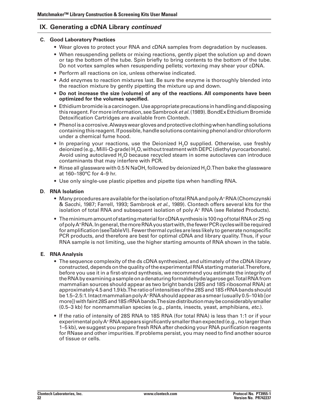### **C. Good Laboratory Practices**

- Wear gloves to protect your RNA and cDNA samples from degradation by nucleases.
- When resuspending pellets or mixing reactions, gently pipet the solution up and down or tap the bottom of the tube. Spin briefly to bring contents to the bottom of the tube. Do not vortex samples when resuspending pellets; vortexing may shear your cDNA.
- Perform all reactions on ice, unless otherwise indicated.
- Add enzymes to reaction mixtures last. Be sure the enzyme is thoroughly blended into the reaction mixture by gently pipetting the mixture up and down.
- **• Do not increase the size (volume) of any of the reactions. All components have been optimized for the volumes specified.**
- Ethidium bromide is a carcinogen. Use appropriate precautions in handling and disposing this reagent. For more information, see Sambrook *et al.* (1989). BondEx Ethidium Bromide Detoxification Cartridges are available from Clontech.
- Phenol is a corrosive. Always wear gloves and protective clothing when handling solutions containing this reagent. If possible, handle solutions containing phenol and/or chloroform under a chemical fume hood.
- In preparing your reactions, use the Deionized H<sub>2</sub>O supplied. Otherwise, use freshly deionized (e.g., Milli-Q-grade) H<sub>2</sub>O, without treatment with DEPC (diethyl pyrocarbonate). Avoid using autoclaved H<sub>2</sub>O because recycled steam in some autoclaves can introduce contaminants that may interfere with PCR.
- Rinse all glassware with 0.5 N NaOH, followed by deionized H<sub>2</sub>O.Then bake the glassware at 160–180°C for 4–9 hr.
- Use only single-use plastic pipettes and pipette tips when handling RNA.

### **D. RNA Isolation**

- Many procedures are available for the isolation of total RNA and poly  $A^+$  RNA (Chomczynski & Sacchi, 1987; Farrell, 1993; Sambrook *et al*., 1989). Clontech offers several kits for the isolation of total RNA and subsequent isolation of poly A<sup>+</sup> RNA (see Related Products).
- The minimum amount of starting material for cDNA synthesis is 100 ng of total RNA or 25 ng ofpolyA+RNA.Ingeneral,themoreRNAyoustartwith,thefewerPCRcycleswillberequired for amplification(seeTableVI). Fewerthermal cycles are less likely togeneratenonspecific PCR products, and therefore are best for optimal cDNA and library quality.Thus, if your RNA sample is not limiting, use the higher starting amounts of RNA shown in the table.

### **E. RNA Analysis**

- The sequence complexity of the ds cDNA synthesized, and ultimately of the cDNA library constructed, depends on the quality of the experimental RNA starting material. Therefore, before you use it in a first-strand synthesis, we recommend you estimate the integrity of theRNAbyexaminingasampleonadenaturingformaldehyde/agarosegel.TotalRNAfrom mammalian sources should appear as two bright bands (28S and 18S ribosomal RNA) at approximately 4.5 and 1.9 kb. The ratio of intensities of the 28S and 18S rRNA bands should be 1.5–2.5:1. Intact mammalian poly  $A^+$ RNA should appear as a smear (usually 0.5–10 kb [or more])withfaint28Sand18SrRNAbands.Thesizedistributionmaybeconsiderablysmaller (0.5–3 kb) for nonmammalian species (e.g., plants, insects, yeast, amphibians, *etc*.).
- If the ratio of intensity of 28S RNA to 18S RNA (for total RNA) is less than 1:1 or if your experimental poly  $A^+$ RNA appears significantly smaller than expected (e.g., no larger than 1–5 kb), we suggest you prepare fresh RNA after checking your RNA purification reagents for RNase and otherimpurities. If problems persist, you may need to find another source of tissue or cells.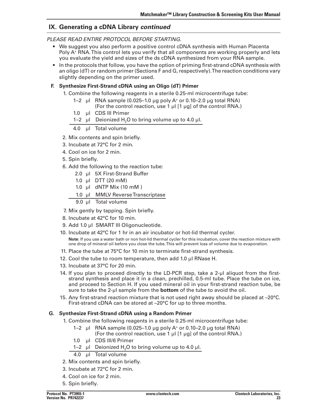### *please read entire protocol before starting.*

- We suggest you also perform a positive control cDNA synthesis with Human Placenta Poly A<sup>+</sup> RNA. This control lets you verify that all components are working properly and lets you evaluate the yield and sizes of the ds cDNA synthesized from your RNA sample.
- • In the protocols that follow, you have the option of priming first-strand cDNA synthesis with an oligo (dT) or random primer (Sections F and G, respectively).The reaction conditions vary slightly depending on the primer used.

### **F. Synthesize First-Strand cDNA using an Oligo (dT) Primer**

- 1. Combine the following reagents in a sterile 0.25-ml microcentrifuge tube:
	- 1–2  $\mu$  RNA sample (0.025–1.0  $\mu$ g poly A<sup>+</sup> or 0.10–2.0  $\mu$ g total RNA) (For the control reaction, use 1  $\mu$ I [1  $\mu$ g] of the control RNA.)
	- 1.0 ul CDS III Primer
	- 1–2  $\mu$ l Deionized H<sub>2</sub>O to bring volume up to 4.0  $\mu$ l.

4.0 µl Total volume

- 2. Mix contents and spin briefly.
- 3. Incubate at 72°C for 2 min.
- 4. Cool on ice for 2 min.
- 5. Spin briefly.
- 6. Add the following to the reaction tube:
	- 2.0 µl 5X First-Strand Buffer
	- 1.0 µl DTT (20 mM)
	- 1.0  $\mu$ I dNTP Mix (10 mM)
	- 1.0 ul MMLV Reverse Transcriptase
	- 9.0 µl Total volume
- 7. Mix gently by tapping. Spin briefly.
- 8. Incubate at 42°C for 10 min.
- 9. Add 1.0 µl SMART III Oligonucleotide.
- 10. Incubate at 42°C for 1 hr in an air incubator or hot-lid thermal cycler.

**Note**: If you use a water bath or non hot-lid thermal cycler for this incubation, cover the reaction mixture with one drop of mineral oil before you close the tube.This will prevent loss of volume due to evaporation.

- 11. Place the tube at 75°C for 10 min to terminate first-strand synthesis.
- 12. Cool the tube to room temperature, then add 1.0 µl RNase H.
- 13. Incubate at 37°C for 20 min.
- 14. If you plan to proceed directly to the LD-PCR step, take a 2-µl aliquot from the firststrand synthesis and place it in a clean, prechilled, 0.5-ml tube. Place the tube on ice, and proceed to Section H. If you used mineral oil in your first-strand reaction tube, be sure to take the 2-µl sample from the **bottom** of the tube to avoid the oil.
- 15. Any first-strand reaction mixture that is not used right away should be placed at -20°C. First-strand cDNA can be stored at –20°C for up to three months.

### **G. Synthesize First-Strand cDNA using a Random Primer**

- 1. Combine the following reagents in a sterile 0.25-ml microcentrifuge tube:
	- 1–2  $\mu$ I RNA sample (0.025–1.0  $\mu$ g poly A<sup>+</sup> or 0.10–2.0  $\mu$ g total RNA)
		- (For the control reaction, use 1 µl [1 µg] of the control RNA.)
	- 1.0 µl CDS III/6 Primer
	- 1–2  $\mu$ I Deionized H<sub>2</sub>O to bring volume up to 4.0  $\mu$ I.
	- 4.0 µl Total volume
- 2. Mix contents and spin briefly.
- 3. Incubate at 72°C for 2 min.
- 4. Cool on ice for 2 min.
- 5. Spin briefly.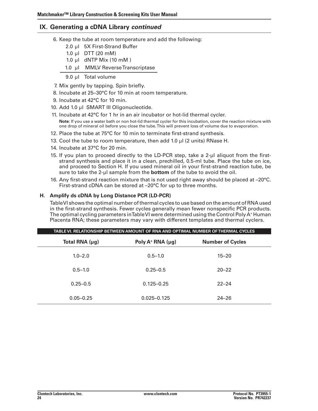- 6. Keep the tube at room temperature and add the following:
	- 2.0 ul 5X First-Strand Buffer
	- 1.0  $\mu$ I DTT (20 mM)
	- 1.0  $\mu$ I dNTP Mix (10 mM)
	- 1.0 µl MMLV Reverse Transcriptase
	- 9.0 µl Total volume
- 7. Mix gently by tapping. Spin briefly.
- 8. Incubate at 25-30°C for 10 min at room temperature.
- 9. Incubate at 42°C for 10 min.
- 10. Add 1.0 µl SMART III Oligonucleotide.
- 11. Incubate at  $42^{\circ}$ C for 1 hr in an air incubator or hot-lid thermal cycler.
	- **Note**: If you use a water bath or non hot-lid thermal cycler for this incubation, cover the reaction mixture with one drop of mineral oil before you close the tube.This will prevent loss of volume due to evaporation.
- 12. Place the tube at 75°C for 10 min to terminate first-strand synthesis.
- 13. Cool the tube to room temperature, then add 1.0 µl (2 units) RNase H.
- 14. Incubate at 37°C for 20 min.
- 15. If you plan to proceed directly to the LD-PCR step, take a 2-µl aliquot from the firststrand synthesis and place it in a clean, prechilled, 0.5-ml tube. Place the tube on ice, and proceed to Section H. If you used mineral oil in your first-strand reaction tube, be sure to take the 2-µl sample from the **bottom** of the tube to avoid the oil.
- 16. Any first-strand reaction mixture that is not used right away should be placed at  $-20^{\circ}$ C. First-strand cDNA can be stored at –20°C for up to three months.

### **H. Amplify ds cDNA by Long Distance PCR (LD-PCR)**

TableVI shows the optimal number ofthermal cycles to use based on the amount ofRNA used in the first-strand synthesis. Fewer cycles generally mean fewer nonspecific PCR products. The optimal cycling parameters inTable VI were determined using the Control Poly A<sup>+</sup> Human Placenta RNA; these parameters may vary with different templates and thermal cyclers.

|                | TABLE VI. RELATIONSHIP BETWEEN AMOUNT OF RNA AND OPTIMAL NUMBER OF THERMAL CYCLES |                         |  |  |  |  |
|----------------|-----------------------------------------------------------------------------------|-------------------------|--|--|--|--|
| Total RNA (µg) | Poly $A^+$ RNA ( $\mu$ g)                                                         | <b>Number of Cycles</b> |  |  |  |  |
| $1.0 - 2.0$    | $0.5 - 1.0$                                                                       | $15 - 20$               |  |  |  |  |
| $0.5 - 1.0$    | $0.25 - 0.5$                                                                      | $20 - 22$               |  |  |  |  |
| $0.25 - 0.5$   | $0.125 - 0.25$                                                                    | $22 - 24$               |  |  |  |  |
| $0.05 - 0.25$  | $0.025 - 0.125$                                                                   | $24 - 26$               |  |  |  |  |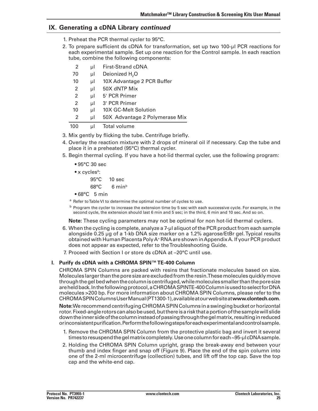- 1. Preheat the PCR thermal cycler to 95°C.
- 2. To prepare sufficient ds cDNA for transformation, set up two 100-ul PCR reactions for each experimental sample. Set up one reaction for the Control sample. In each reaction tube, combine the following components:

| 2   | μl | <b>First-Strand cDNA</b>       |  |
|-----|----|--------------------------------|--|
| 70  | μl | Deionized $H_2O$               |  |
| 10  | μl | 10X Advantage 2 PCR Buffer     |  |
| 2   | μl | 50X dNTP Mix                   |  |
| 2   | μl | 5' PCR Primer                  |  |
| 2   | μl | 3' PCR Primer                  |  |
| 10  | μl | 10X GC-Melt Solution           |  |
| 2   | μl | 50X Advantage 2 Polymerase Mix |  |
| 100 | μl | Total volume                   |  |

3. Mix gently by flicking the tube. Centrifuge briefly.

- 4. Overlay the reaction mixture with 2 drops of mineral oil if necessary. Cap the tube and place it in a preheated (95°C) thermal cycler.
- 5. Begin thermal cycling. If you have a hot-lid thermal cycler, use the following program:
	- $•95°C 30 sec$
	- $\bullet$  x cycles<sup>a</sup>:

 95°C 10 sec  $68^{\circ}$ C  $6 \text{ min}^{\circ}$ 

- $•68°C$  5 min
- <sup>a</sup> Refer to Table VI to determine the optimal number of cycles to use.
- $<sup>b</sup>$  Program the cycler to increase the extension time by 5 sec with each successive cycle. For example, in the</sup> second cycle, the extension should last 6 min and 5 sec; in the third, 6 min and 10 sec. And so on.

 **Note:** These cycling parameters may not be optimal for non hot-lid thermal cyclers.

- 6. When the cycling is complete, analyze a 7-µl aliquot of the PCR product from each sample alongside 0.25 µg of a 1-kb DNA size marker on a 1.2% agarose/EtBr gel.Typical results obtained with Human Placenta PolyA+ RNA are shown inAppendixA. If your PCR product does not appear as expected, refer to theTroubleshooting Guide.
- 7. Proceed with Section Lor store ds cDNA at –20°C until use.

### **I. Purify ds cDNA with a CHROMA SPIN™TE-400 Column**

CHROMA SPIN Columns are packed with resins that fractionate molecules based on size. Molecules larger than the pore size are excluded from the resin. These molecules quickly move throughthegelbedwhenthecolumnis centrifuged,whilemolecules smallerthantheporesize are held back. In the following protocol, a CHROMA SPINTE-400 Column is used to select for DNA molecules >200 bp. For more information about CHROMA SPIN Columns, please refer to the CHROMASPINColumnsUserManual(PT1300-1),availableatourwebsiteat**www.clontech.com**.

**Note:** We recommend centrifuging CHROMA SPIN Columns in a swinging bucket or horizontal rotor.Fixed-anglerotorscanalsobeused,butthereisariskthataportionofthesamplewillslide down the inner side of the column instead of passing through the gel matrix, resulting in reduced orinconsistentpurification.Performthefollowingstepsforeachexperimentalandcontrolsample.

- 1. Remove the CHROMA SPIN Column from the protective plastic bag and invert it several times to resuspend the gel matrix completely. Use one column for each ~95-µl cDNA sample.
- 2. Holding the CHROMA SPIN Column upright, grasp the break-away end between your thumb and index finger and snap off (Figure 9). Place the end of the spin column into one of the 2-ml microcentrifuge (collection) tubes, and lift off the top cap. Save the top cap and the white-end cap.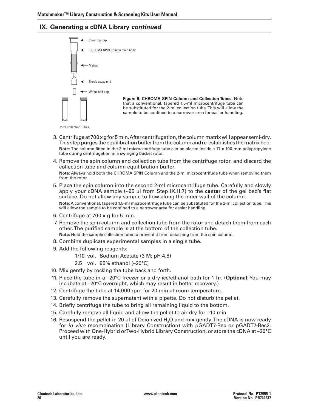

2-ml Collection Tubes

- 3. Centrifuge at 700 x g for 5 min. After centrifugation, the column matrix will appear semi-dry. This step purges the equilibration buffer from the column and re-establishes the matrix bed. **Note:** The column fitted in the 2-ml microcentrifuge tube can be placed inside a 17 x 100-mm polypropylene tube during centrifugation in a swinging bucket rotor.
- 4. Remove the spin column and collection tube from the centrifuge rotor, and discard the collection tube and column equilibration buffer.  **Note:** Always hold both the CHROMA SPIN Column and the 2-ml microcentrifuge tube when removing them from the rotor.
- 5. Place the spin column into the second 2-ml microcentrifuge tube. Carefully and slowly apply your cDNA sample (~95 µl from Step IX.H.7) to the **center** of the gel bed's flat surface. Do not allow any sample to flow along the inner wall of the column.  **Note:** A conventional, tapered 1.5-ml microcentrifuge tube can be substituted for the 2-ml collection tube.This will allow the sample to be confined to a narrower area for easier handling.
- 6. Centrifuge at 700 x g for 5 min.
- 7. Remove the spin column and collection tube from the rotor and detach them from each other.The purified sample is at the bottom of the collection tube. **Note:** Hold the sample collection tube to prevent it from detaching from the spin column.
- 8. Combine duplicate experimental samples in a single tube.
- 9. Add the following reagents:
	- 1/10 vol. Sodium Acetate (3 M; pH 4.8)
	- 2.5 vol. 95% ethanol (–20°C)
- 10. Mix gently by rocking the tube back and forth.
- 11. Place the tube in a -20°C freezer or a dry-ice/ethanol bath for 1 hr. (**Optional:** You may incubate at –20°C overnight, which may result in better recovery.)
- 12. Centrifuge the tube at 14,000 rpm for 20 min at room temperature.
- 13. Carefully remove the supernatant with a pipette. Do not disturb the pellet.
- 14. Briefly centrifuge the tube to bring all remaining liquid to the bottom.
- 15. Carefully remove all liquid and allow the pellet to air dry for  $\sim$ 10 min.
- 16. Resuspend the pellet in 20 µl of Deionized H<sub>2</sub>O and mix gently. The cDNA is now ready for *in vivo* recombination (Library Construction) with pGADT7-Rec or pGADT7-Rec2. Proceed with One-Hybrid orTwo-Hybrid Library Construction, or store the cDNA at –20°C until you are ready.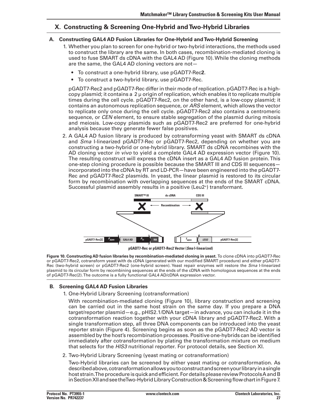# **X. Constructing & Screening One-Hybrid andTwo-Hybrid Libraries**

### **A. Constructing GAL4 AD Fusion Libraries for One-Hybrid andTwo-Hybrid Screening**

- 1. Whether you plan to screen for one-hybrid or two-hybrid interactions, the methods used to construct the library are the same. In both cases, recombination-mediated cloning is used to fuse SMART ds cDNA with the GAL4 AD (Figure 10).While the cloning methods are the same, the GAL4 AD cloning vectors are not—
	- To construct a one-hybrid library, use pGADT7-Rec2.
	- To construct a two-hybrid library, use pGADT7-Rec.

 pGADT7-Rec2 and pGADT7-Rec differin their mode ofreplication. pGADT7-Rec is a highcopy plasmid; it contains a  $2 \mu$  origin of replication, which enables it to replicate multiple times during the cell cycle. pGADT7-Rec2, on the other hand, is a low-copy plasmid; it contains an autonomous replication sequence, or *ARS* element, which allows the vector to replicate only once during the cell cycle. pGADT7-Rec2 also contains a centromeric sequence, or *CEN* element, to ensure stable segregation of the plasmid during mitosis and meiosis. Low-copy plasmids such as pGADT7-Rec2 are preferred for one-hybrid analysis because they generate fewer false positives.

2. A GAL4 AD fusion library is produced by cotransforming yeast with SMART ds cDNA and *Sma* I-linearized pGADT7-Rec or pGADT7-Rec2, depending on whether you are constructing a two-hybrid or one-hybrid library. SMART ds cDNA recombines with the AD cloning vector *in vivo* to yield a complete GAL4 AD expression vector (Figure 10). The resulting construct will express the cDNA insert as a GAL4 AD fusion protein.This one-step cloning procedure is possible because the SMART III and CDS III sequences incorporated into the cDNA by RT and LD-PCR—have been engineered into the pGADT7- Rec and pGADT7-Rec2 plasmids. In yeast, the linear plasmid is restored to its circular form by recombination with overlapping sequences at the ends of the SMART cDNA. Successful plasmid assembly results in a positive (Leu2+) transformant.



**pGADT7-Rec or pGADT7-Rec Vector (***Sma* **I-linearized)**

**Figure 10. Constructing AD fusion libraries by recombination-mediated cloning in yeast.** To clone cDNA into pGADT7-Rec or pGADT7-Rec2, cotransform yeast with ds cDNA (generated with our modified SMART procedure) and either pGADT7- Rec (two-hybrid screen) or pGADT7-Rec2 (one-hybrid screen). Yeast repair enzymes will restore the *Sma* I-linearized plasmid to its circular form by recombining sequences at the ends of the cDNA with homologous sequences at the ends of pGADT7-Rec(2).The outcome is a fully functional GAL4 AD/cDNA expression vector.

### **B. Screening GAL4 AD Fusion Libraries**

1. One-Hybrid Library Screening (cotransformation)

With recombination-mediated cloning (Figure 10), library construction and screening can be carried out in the same host strain on the same day. If you prepare a DNA target/reporter plasmid—e.g., pHIS2.1/DNA target—in advance, you can include it in the cotransformation reaction together with your cDNA library and pGADT7-Rec2. With a single transformation step, all three DNA components can be introduced into the yeast reporter strain (Figure 4). Screening begins as soon as the pGADT7-Rec2 AD vector is assembled by the host's recombination processes. Positive one-hybrids can be identified immediately after cotransformation by plating the transformation mixture on medium that selects for the *HIS3* nutritional reporter. For protocol details, see Section XI.

2. Two-Hybrid Library Screening (yeast mating or cotransformation)

 Two-Hybrid libraries can be screened by either yeast mating or cotransformation. As describedabove,cotransformationallowsyoutoconstructandscreenyourlibraryinasingle host strain.The procedure is quick and efficient. For details please review Protocols A and B in Section XII and see the Two-Hybrid Library Construction & Screening flow chart in Figure 7.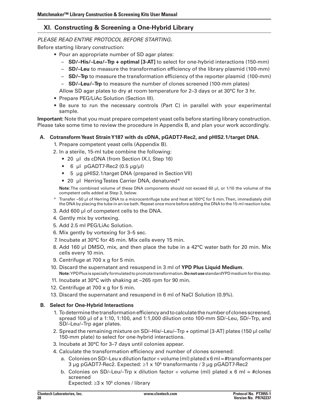# **XI. Constructing & Screening a One-Hybrid Library**

### *PLEASE READ ENTIRE PROTOCOL BEFORE STARTING.*

Before starting library construction:

- Pour an appropriate number of SD agar plates:
	- – **SD/–His/–Leu/–Trp + optimal [3-AT]** to select for one-hybrid interactions (150-mm)
	- **SD/-Leu** to measure the transformation efficiency of the library plasmid (100-mm)
	- **SD/-Trp** to measure the transformation efficiency of the reporter plasmid (100-mm)
	- **SD/-Leu/-Trp** to measure the number of clones screened (100-mm plates)

 Allow SD agar plates to dry at room temperature for 2–3 days or at 30°C for 3 hr.

- Prepare PEG/LiAc Solution (Section III).
- Be sure to run the necessary controls (Part C) in parallel with your experimental sample.

**Important:** Note that you must prepare competent yeast cells before starting library construction. Please take some time to review the procedure in Appendix B, and plan your work accordingly.

### **A. CotransformYeast StrainY187 with ds cDNA, pGADT7-Rec2, and pHIS2.1/target DNA.**

1. Prepare competent yeast cells (Appendix B).

- 2. In a sterile, 15-ml tube combine the following:
	- 20 µl ds cDNA (from Section IX.I, Step 16)
	- 6  $\mu$ I pGADT7-Rec2 (0.5  $\mu$ g/ $\mu$ I)
	- 5 μg pHIS2.1/target DNA (prepared in Section VII)
	- 20 µl Herring Testes Carrier DNA, denatured\*

 **Note:** The combined volume of these DNA components should not exceed 60 µl, or 1/10 the volume of the competent cells added at Step 3, below.

- \* Transfer ~50 µl of Herring DNA to a microcentrifuge tube and heat at 100°C for 5 min.Then, immediately chill the DNA by placing the tube in an ice bath. Repeat once more before adding the DNA to the 15-mlreaction tube.
- 3. Add 600 µl of competent cells to the DNA.
- 4. Gently mix by vortexing.
- 5. Add 2.5 ml PEG/LiAc Solution.
- 6. Mix gently by vortexing for 3–5 sec.
- 7. Incubate at 30°C for 45 min. Mix cells every 15 min.
- 8. Add 160 µl DMSO, mix, and then place the tube in a 42 $\degree$ C water bath for 20 min. Mix cells every 10 min.
- 9. Centrifuge at 700 x g for 5 min.
- 10. Discard the supernatant and resuspend in 3 ml of **YPD Plus Liquid Medium**. **Note:**YPDPlus is speciallyformulatedtopromotetransformation.**Donotuse**standardYPDmediumforthis step.
- 11. Incubate at 30 $\degree$ C with shaking at  $\sim$ 265 rpm for 90 min.
- 12. Centrifuge at 700  $\times$  g for 5 min.
- 13. Discard the supernatant and resuspend in 6 ml of NaCl Solution (0.9%).

### **B. Select for One-Hybrid Interactions**

- 1. To determine the transformation efficiency and to calculate the number of clones screened, spread 100 µl of a 1:10, 1:100, and 1:1,000 dilution onto 100-mm SD/–Leu, SD/–Trp, and SD/–Leu/–Trp agar plates.
- 2. Spread the remaining mixture on SD/–His/–Leu/–Trp + optimal [3-AT] plates (150 µl cells/ 150-mm plate) to select for one-hybrid interactions.
- 3. Incubate at 30°C for 3–7 days until colonies appear.
- 4. Calculate the transformation efficiency and number of clones screened:
	- a. Colonies on SD/-Leux dilution factor  $\div$  volume (ml) plated x 6 ml = #transformants per 3 µg pGADT7-Rec2. Expected:  $\geq$ 1 x 10<sup>6</sup> transformants / 3 µg pGADT7-Rec2
	- b. Colonies on SD/–Leu/–Trp x dilution factor ÷ volume (ml) plated x 6 ml = #clones screened

Expected:  $≥3 \times 10^5$  clones / library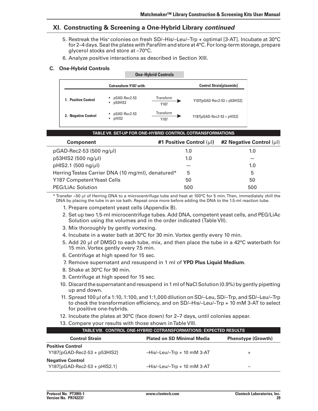# **XI. Constructing & Screening a One-Hybrid Library** *continued*

- 5. Restreak the His<sup>+</sup> colonies on fresh SD/-His/-Leu/-Trp + optimal [3-AT]. Incubate at 30°C for 2–4 days. Seal the plates with Parafilm and store at  $4^{\circ}$ C. For long-term storage, prepare glycerol stocks and store at –70°C.
- 6. Analyze positive interactions as described in Section XIII.

### **C. One-Hybrid Controls**

|                     |                               | <b>One-Hybrid Controls</b> |                                 |
|---------------------|-------------------------------|----------------------------|---------------------------------|
|                     | <b>Cotransform Y187 with:</b> |                            | <b>Control Strain[plasmids]</b> |
| 1. Positive Control | pGAD-Rec2-53<br>p53HIS2<br>٠  | Transform<br>Y187          | Y187[pGAD-Rec2-53 + p53HIS2]    |
| 2. Negative Control | pGAD-Rec2-53<br>pHIS2<br>٠    | Transform<br>Y187          | $Y187[pGAD-Rec2-53 + pH S2]$    |

| <u>IADLE VII. OLI OIT ON ONE-ITTDIND OON INOL OOTHANOI ONIMATIONO</u> |                               |                               |  |  |
|-----------------------------------------------------------------------|-------------------------------|-------------------------------|--|--|
| <b>Component</b>                                                      | #1 Positive Control $(\mu I)$ | #2 Negative Control $(\mu I)$ |  |  |
| pGAD-Rec2-53 (500 ng/µl)                                              | 1.0                           | 1.0                           |  |  |
| p53HIS2 (500 ng/µl)                                                   | 1.0                           |                               |  |  |
| pHIS2.1 (500 ng/µl)                                                   |                               | 1.0                           |  |  |
| Herring Testes Carrier DNA (10 mg/ml), denatured*                     | 5                             | 5                             |  |  |
| Y187 Competent Yeast Cells                                            | 50                            | 50                            |  |  |
| <b>PEG/LiAc Solution</b>                                              | 500                           | 500                           |  |  |
|                                                                       |                               |                               |  |  |

**table VII. Set-up for One-hybrid Control Cotransformations**

 \* Transfer ~50 µl of Herring DNA to a microcentrifuge tube and heat at 100°C for 5 min.Then, immediately chill the DNA by placing the tube in an ice bath. Repeat once more before adding the DNA to the 1.5-ml reaction tube.

- 1. Prepare competent yeast cells (Appendix B).
- 2. Set up two 1.5-ml microcentrifuge tubes. Add DNA, competent yeast cells, and PEG/LiAc Solution using the volumes and in the order indicated (Table VII).
- 3. Mix thoroughly by gently vortexing.
- 4. Incubate in a water bath at 30°C for 30 min. Vortex gently every 10 min.
- 5. Add 20  $\mu$  of DMSO to each tube, mix, and then place the tube in a 42 $\degree$ C waterbath for 15 min. Vortex gently every 7.5 min.
- 6. Centrifuge at high speed for 15 sec.
- 7. Remove supernatant and resuspend in 1 ml of **YPD Plus Liquid Medium**.
- 8. Shake at 30°C for 90 min.
- 9. Centrifuge at high speed for 15 sec.
- 10. Discard the supernatant and resuspend in 1 ml of NaCl Solution (0.9%) by gently pipetting up and down.
- 11. Spread 100 µl of a 1:10, 1:100, and 1:1,000 dilution on SD/–Leu, SD/–Trp, and SD/–Leu/–Trp to check the transformation efficiency, and on SD/–His/–Leu/–Trp + 10 mM 3-AT to select for positive one-hybrids.
- 12. Incubate the plates at  $30^{\circ}$ C (face down) for 2–7 days, until colonies appear.
- 13. Compare your results with those shown in Table VIII.

| TABLE VIII. CONTROL ONE-HYBRID COTRANSFORMATIONS: EXPECTED RESULTS |                                   |                           |  |
|--------------------------------------------------------------------|-----------------------------------|---------------------------|--|
| <b>Control Strain</b>                                              | <b>Plated on SD Minimal Media</b> | <b>Phenotype (Growth)</b> |  |
| <b>Positive Control</b><br>$Y187[pGAD-Rec2-53 + p53HIS2]$          | $-His$ -Leu/-Trp + 10 mM 3-AT     | ÷                         |  |
| <b>Negative Control</b><br>$Y187[pGAD-Rec2-53 + pHIS2.1]$          | $-His$ -Leu/-Trp + 10 mM 3-AT     |                           |  |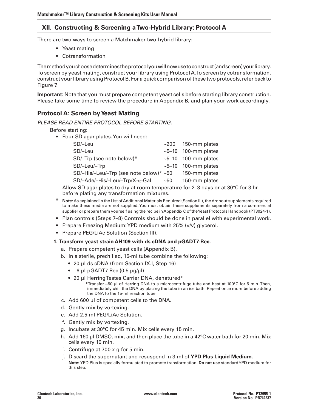There are two ways to screen a Matchmaker two-hybrid library:

- • Yeast mating
- • Cotransformation

Themethodyouchoosedeterminestheprotocolyouwillnowusetoconstruct(andscreen)yourlibrary. To screen by yeast mating, construct your library using Protocol A.To screen by cotransformation, construct yourlibrary using ProtocolB. For a quick comparison ofthese two protocols,refer back to Figure 7.

**Important:** Note that you must prepare competent yeast cells before starting library construction. Please take some time to review the procedure in Appendix B, and plan your work accordingly.

# **Protocol A: Screen byYeast Mating**

*PLEASE READ ENTIRE PROTOCOL BEFORE STARTING.* 

 Before starting:

• Pour SD agar plates. You will need:

| SD/-Leu                                   |          | $\sim$ 200 150-mm plates  |
|-------------------------------------------|----------|---------------------------|
| SD/-Leu                                   |          | $\sim$ 5-10 100-mm plates |
| SD/-Trp (see note below)*                 |          | $\sim$ 5-10 100-mm plates |
| SD/-Leu/-Trp                              |          | $\sim$ 5-10 100-mm plates |
| SD/-His/-Leu/-Trp (see note below)* $~50$ |          | 150-mm plates             |
| $SD/-Ade/-His/-Leu/-Trp/X-\alpha-Gal$     | $~1$ –50 | 150-mm plates             |

 Allow SD agar plates to dry at room temperature for 2–3 days or at 30°C for 3 hr before plating any transformation mixtures.

- Note: As explained in the List of Additional Materials Required (Section III), the dropout supplements required to make these media are not supplied.You must obtain these supplements separately from a commercial supplier or prepare them yourself using the recipe in Appendix C of the Yeast Protocols Handbook (PT3024-1).
- Plan controls (Steps 7–8) Controls should be done in parallel with experimental work.
- Prepare Freezing Medium: YPD medium with 25% (v/v) glycerol.
- Prepare PEG/LiAc Solution (Section III).

#### **1. Transform yeast strain AH109 with ds cDNA and pGADT7-Rec.**

- a. Prepare competent yeast cells (Appendix B).
- b. In a sterile, prechilled, 15-ml tube combine the following:
	- 20 µl ds cDNA (from Section IX.I, Step 16)
	- $6 \mu l$  pGADT7-Rec (0.5  $\mu$ g/ $\mu$ l)
	- 20 µl Herring Testes Carrier DNA, denatured\*
		- **\***Transfer ~50 µl of Herring DNA to a microcentrifuge tube and heat at 100°C for 5 min. Then, immediately chill the DNA by placing the tube in an ice bath. Repeat once more before adding the DNA to the 15-ml reaction tube.
- c. Add 600 µl of competent cells to the DNA.
- d. Gently mix by vortexing.
- e. Add 2.5 ml PEG/LiAc Solution.
- f. Gently mix by vortexing.
- g. Incubate at 30°C for 45 min. Mix cells every 15 min.
- h. Add 160 µl DMSO, mix, and then place the tube in a  $42^{\circ}$ C water bath for 20 min. Mix cells every 10 min.
- i. Centrifuge at  $700 \times g$  for 5 min.
- j. Discard the supernatant and resuspend in 3 ml of **YPD Plus Liquid Medium**. **Note:** YPD Plus is specially formulated to promote transformation. **Do not use** standardYPD medium for this step.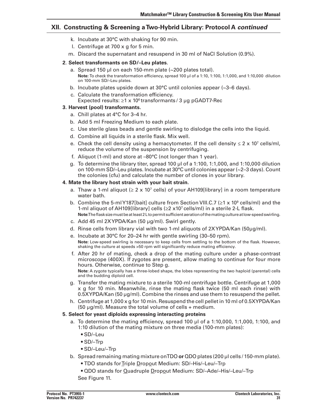- k. Incubate at 30°C with shaking for 90 min.
- 1. Centrifuge at  $700 \times g$  for 5 min.
- m. Discard the supernatant and resuspend in 30 ml of NaCl Solution (0.9%).

### **2**. **Select transformants on SD/–Leu plates**.

- a. Spread 150 µl on each 150-mm plate (~200 plates total). **Note:** To check the transformation efficiency, spread 100 µl of a 1:10, 1:100, 1:1,000, and 1:10,000 dilution on 100-mm SD/–Leu plates.
- b. Incubate plates upside down at  $30^{\circ}$ C until colonies appear ( $\sim$ 3–6 days).
- c. Calculate the transformation efficiency. Expected results:  $\geq 1 \times 10^6$  transformants / 3 µg pGADT7-Rec

### **3. Harvest (pool) transformants.**

- a. Chill plates at 4°C for 3-4 hr.
- b. Add 5 ml Freezing Medium to each plate.
- c. Use sterile glass beads and gentle swirling to dislodge the cells into the liquid.
- d. Combine all liquids in a sterile flask. Mix well.
- e. Check the cell density using a hemacytometer. If the cell density  $\leq 2 \times 10^7$  cells/ml, reduce the volume of the suspension by centrifuging.
- f. Aliquot (1-ml) and store at –80°C (not longer than 1 year).
- g. To determine the library titer, spread 100 µl of a 1:100, 1:1,000, and 1:10,000 dilution on 100-mm SD/–Leu plates. Incubate at 30°C until colonies appear(~2–3 days). Count the colonies (cfu) and calculate the number of clones in your library.

### **4. Mate the library host strain with your bait strain.**

- a. Thaw a 1-ml aliquot ( $\geq 2 \times 10^7$  cells) of your AH109[library] in a room temperature water bath.
- b. Combine the 5-mlY187[bait] culture from Section VIII.C.7 ( $\geq 1 \times 10^9$  cells/ml) and the 1-ml aliquot of AH109[library] cells  $(\geq 2 \times 10^7 \text{ cells/ml})$  in a sterile 2-L flask. **Note:**Theflasksizemustbeatleast2Ltopermitsufficientaerationofthematingcultureatlow-speedswirling.
- c. Add 45 ml 2XYPDA/Kan (50 µg/ml). Swirl gently.
- d. Rinse cells from library vial with two 1-ml aliquots of 2XYPDA/Kan (50µg/ml).
- e. Incubate at 30°C for 20–24 hr with gentle swirling (30–50 rpm). **Note:** Low-speed swirling is necessary to keep cells from settling to the bottom of the flask. However, shaking the culture at speeds >50 rpm will significantly reduce mating efficiency.
- f. After 20 hr of mating, check a drop of the mating culture under a phase-contrast microscope (400X). If zygotes are present, allow mating to continue for four more hours. Otherwise, continue to Step g. **Note:** A zygote typically has a three-lobed shape, the lobes representing the two haploid (parental) cells and the budding diploid cell.
- g. Transfer the mating mixture to a sterile 100-ml centrifuge bottle. Centrifuge at 1,000 x g for 10 min. Meanwhile, rinse the mating flask twice (50 ml each rinse) with 0.5XYPDA/Kan (50 µg/ml). Combine the rinses and use them to resuspend the pellet.
- h. Centrifuge at 1,000 x g for 10 min. Resuspend the cell pellet in 10 ml of 0.5XYPDA/Kan  $(50 \mu g/ml)$ . Measure the total volume of cells + medium.

### **5. Select for yeast diploids expressing interacting proteins**

- a. To determine the mating efficiency, spread 100  $\mu$ l of a 1:10,000, 1:1,000, 1:100, and 1:10 dilution of the mating mixture on three media (100-mm plates):
	- • SD/–Leu
	- • SD/–Trp
	- SD/–Leu/–Trp
- b. Spread remaining mating mixture onTDO **or** QDO plates (200 µl cells / 150-mm plate).
	- • TDO stands forTriple Dropout Medium: SD/–His/–Leu/–Trp
	- QDO stands for Quadruple Dropout Medium: SD/-Ade/-His/-Leu/-Trp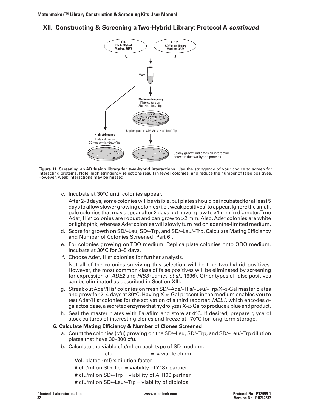

**Figure 11. Screening an AD fusion library for two-hybrid interactions.** Use the stringency of your choice to screen for interacting proteins. Note: high stringency selections result in fewer colonies, and reduce the number of false positives. However, weak interactions may be missed.

c. Incubate at 30°C until colonies appear.

 After2–3days,somecolonieswillbevisible,butplatesshouldbeincubatedforatleast5 days toallowslowergrowingcolonies (i.e.,weakpositives)toappear.Ignorethesmall, pale colonies that may appear after 2 days but never grow to >1 mm in diameter.True Ade<sup>+</sup>, His<sup>+</sup> colonies are robust and can grow to >2 mm. Also, Ade<sup>+</sup> colonies are white or light pink, whereas Ade– colonies will slowly turn red on adenine-limited medium.

- d. Score for growth on SD/–Leu, SD/–Trp, and SD/–Leu/–Trp. Calculate Mating Efficiency and Number of Colonies Screened (Part 6).
- e. For colonies growing on TDO medium: Replica plate colonies onto QDO medium. Incubate at 30°C for 3–8 days.
- f. Choose Ade<sup>+</sup>, His<sup>+</sup> colonies for further analysis.

 Not all of the colonies surviving this selection will be true two-hybrid positives. However, the most common class of false positives will be eliminated by screening for expression of *ADE2* and *HIS3* (James *et al*., 1996). Other types of false positives can be eliminated as described in Section XIII.

- g. Streak out Ade+/His+ colonies on fresh SD/–Ade/–His/–Leu/–Trp/X-α-Gal master plates and grow for 2–4 days at 30°C. Having  $X-\alpha$ -Gal present in the medium enables you to test Ade+/His+ colonies for the activation of a third reporter: *MEL1*, which encodes αgalactosidase, a secreted enzyme that hydrolyzes  $X-\alpha$ -Gal to produce a blue end product.
- h. Seal the master plates with Parafilm and store at 4°C. If desired, prepare glycerol stock cultures of interesting clones and freeze at –70°C for long-term storage.

### **6. Calculate Mating Efficiency & Number of Clones Screened**

- a. Count the colonies (cfu) growing on the SD/-Leu, SD/-Trp, and SD/-Leu/-Trp dilution plates that have 30–300 cfu.
- b. Calculate the viable cfu/ml on each type of SD medium:

cfu  $=$   $\#$  viable cfu/ml Vol. plated (ml) x dilution factor # cfu/ml on SD/–Leu = viability ofY187 partner # cfu/ml on SD/–Trp = viability of AH109 partner # cfu/ml on SD/–Leu/–Trp = viability of diploids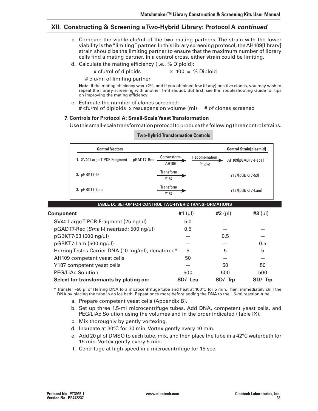- c. Compare the viable cfu/ml of the two mating partners. The strain with the lower viability is the"limiting" partner. In this library screening protocol, theAH109[library] strain should be the limiting partner to ensure that the maximum number of library cells find a mating partner. In a control cross, either strain could be limiting.
- d. Calculate the mating efficiency (i.e., % Diploid):

 # cfu/ml of diploids x 100 = % Diploid

 # cfu/ml of limiting partner

**Note:** If the mating efficiency was <2%, and if you obtained few (if any) positive clones, you may wish to repeat the library screening with another 1-ml aliquot. But first, see the Troubleshooting Guide for tips on improving the mating efficiency.

e. Estimate the number of clones screened: # cfu/ml of diploids x resuspension volume (ml) = # of clones screened

### **7. Controls for Protocol A: Small-ScaleYeastTransformation**

Use this small-scale transformation protocol to produce the following three control strains.

| <b>Control Vectors</b>                    |                      |                          | <b>Control Strain[plasmid]</b> |
|-------------------------------------------|----------------------|--------------------------|--------------------------------|
| 1. SV40 Large T PCR Fragment + pGADT7-Rec | Cotransform<br>AH109 | Recombination<br>in vivo | AH109[pGADT7-RecT]             |
| 2. pGBKT7-53                              | Transform<br>Y187    |                          | Y187[pGBKT7-53]                |
| 3. pGBKT7-Lam                             | Transform<br>Y187    |                          | Y187[pGBKT7-Lam]               |

#### **Two-Hybrid Transformation Controls**

| TABLE IX. SET-UP FOR CONTROL TWO-HYBRID TRANSFORMATIONS |              |              |            |  |
|---------------------------------------------------------|--------------|--------------|------------|--|
| <b>Component</b>                                        | #1 $(\mu I)$ | #2 $(\mu I)$ | $#3$ (µl)  |  |
| SV40 Large T PCR Fragment (25 ng/µl)                    | 5.0          |              |            |  |
| pGADT7-Rec (Sma I-linearized; 500 ng/µl)                | 0.5          |              |            |  |
| pGBKT7-53 (500 ng/µl)                                   |              | 0.5          |            |  |
| pGBKT7-Lam (500 ng/µl)                                  |              |              | 0.5        |  |
| Herring Testes Carrier DNA (10 mg/ml), denatured*       | 5            | 5            | 5          |  |
| AH109 competent yeast cells                             | 50           |              |            |  |
| Y187 competent yeast cells                              |              | 50           | 50         |  |
| PEG/LiAc Solution                                       | 500          | 500          | 500        |  |
| Select for transformants by plating on:                 | SD/-Leu      | $SD/-$ Trp   | $SD/-$ Trp |  |

 **\*** Transfer ~50 µl of Herring DNA to a microcentrifuge tube and heat at 100°C for 5 min.Then, immediately chill the DNA by placing the tube in an ice bath. Repeat once more before adding the DNA to the 1.5-ml reaction tube.

- a. Prepare competent yeast cells (Appendix B).
- b. Set up three 1.5-ml microcentrifuge tubes. Add DNA, competent yeast cells, and PEG/LiAc Solution using the volumes and in the order indicated (Table IX).
- c. Mix thoroughly by gently vortexing.
- d. Incubate at 30°C for 30 min. Vortex gently every 10 min.
- e. Add 20  $\mu$  of DMSO to each tube, mix, and then place the tube in a 42°C waterbath for 15 min. Vortex gently every 5 min.
- f. Centrifuge at high speed in a microcentrifuge for 15 sec.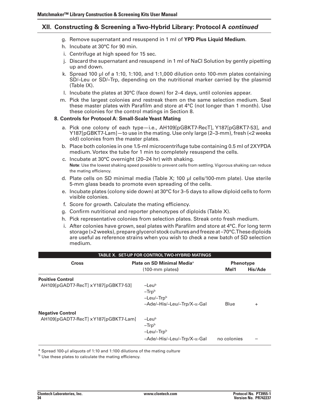- g. Remove supernatant and resuspend in 1 ml of **YPD Plus Liquid Medium**.
- h. Incubate at 30°C for 90 min.
- i. Centrifuge at high speed for 15 sec.
- j. Discard the supernatant and resuspend in 1 ml of NaCl Solution by gently pipetting up and down.
- k. Spread 100  $\mu$ l of a 1:10, 1:100, and 1:1,000 dilution onto 100-mm plates containing SD/–Leu or SD/–Trp, depending on the nutritional marker carried by the plasmid (Table IX).
- 1. Incubate the plates at  $30^{\circ}$ C (face down) for 2–4 days, until colonies appear.
- m. Pick the largest colonies and restreak them on the same selection medium. Seal these master plates with Parafilm and store at 4°C (not longer than 1 month). Use these colonies for the control matings in Section 8.

### **8. Controls for Protocol A: Small-Scale Yeast Mating**

- a. Pick one colony of each type—i.e., AH109[pGBKT7-RecT], Y187[pGBKT7-53], and Y187[pGBKT7-Lam]—to use in the mating. Use only large (2–3-mm), fresh (<2 weeks old) colonies from the master plates.
- b. Place both colonies in one 1.5-ml microcentrifuge tube containing 0.5 ml of 2XYPDA medium. Vortex the tube for 1 min to completely resuspend the cells.
- c. Incubate at 30°C overnight (20–24 hr) with shaking. **Note**: Use the lowest shaking speed possible to prevent cells from settling.Vigorous shaking can reduce the mating efficiency.
- d. Plate cells on SD minimal media (Table X; 100  $\mu$ l cells/100-mm plate). Use sterile 5-mm glass beads to promote even spreading of the cells.
- e. Incubate plates (colony side down) at  $30^{\circ}$ C for 3–5 days to allow diploid cells to form visible colonies.
- f. Score for growth. Calculate the mating efficiency.
- g. Confirm nutritional and reporter phenotypes of diploids (Table X).
- h. Pick representative colonies from selection plates. Streak onto fresh medium.
- i. After colonies have grown, seal plates with Parafilm and store at  $4^{\circ}$ C. For long term storage ( $>2$  weeks), prepare glycerol stock cultures and freeze at  $-70^{\circ}$ C. These diploids are useful as reference strains when you wish to check a new batch of SD selection medium.

| <b>TABLE X. SET-UP FOR CONTROL TWO-HYBRID MATINGS</b>           |                                                                                                           |                          |           |
|-----------------------------------------------------------------|-----------------------------------------------------------------------------------------------------------|--------------------------|-----------|
| <b>Cross</b>                                                    | <b>Plate on SD Minimal Media</b> <sup>a</sup><br>$(100\text{-}mm \text{ plates})$                         | <b>Phenotype</b><br>Mel1 | His/Ade   |
| <b>Positive Control</b><br>AH109[pGADT7-RecT] xY187[pGBKT7-53]  | $-$ Leub<br>$-Trpb$<br>-Leu/-Trpb<br>$-$ Ade/ $-$ His/ $-$ Leu/ $-$ Trp/X- $\alpha$ -Gal                  | Blue                     | $\ddot{}$ |
| <b>Negative Control</b><br>AH109[pGADT7-RecT] xY187[pGBKT7-Lam] | $-$ Leub<br>$-Trpb$<br>$-$ Leu/ $-$ Trp $^{\rm b}$<br>$-$ Ade/ $-$ His/ $-$ Leu/ $-$ Trp/X- $\alpha$ -Gal | no colonies              |           |

a Spread 100-µl aliquots of 1:10 and 1:100 dilutions of the mating culture

 $<sup>b</sup>$  Use these plates to calculate the mating efficiency.</sup>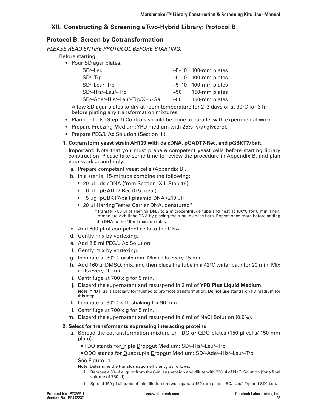# **Protocol B: Screen by Cotransformation**

*PLEASE READ ENTIRE PROTOCOL BEFORE STARTING.*

- Before starting:
	- Pour SD agar plates.

| SD/-Leu                               |      | $\sim$ 5–10 100-mm plates |
|---------------------------------------|------|---------------------------|
| $SD/-$ Trp                            |      | $\sim$ 5–10 100-mm plates |
| SD/-Leu/-Trp                          |      | $\sim$ 5–10 100-mm plates |
| SD/-His/-Leu/-Trp                     | ~50  | 150-mm plates             |
| $SD/-Ade/-His/-Leu/-Trp/X-\alpha-Gal$ | ~100 | 150-mm plates             |

 Allow SD agar plates to dry at room temperature for 2–3 days or at 30°C for 3 hr before plating any transformation mixtures.

- • Plan controls (Step 3) Controls should be done in parallel with experimental work.
- Prepare Freezing Medium: YPD medium with 25% (v/v) glycerol.
- Prepare PEG/LiAc Solution (Section III).

### **1. Cotransform yeast strain AH109 with ds cDNA, pGADT7-Rec, and pGBKT7/bait.**

 **Important:** Note that you must prepare competent yeast cells before starting library construction. Please take some time to review the procedure in Appendix B, and plan your work accordingly.

- a. Prepare competent yeast cells (Appendix B).
- b. In a sterile, 15-ml tube combine the following:
	- 20 µl ds cDNA (from Section IX.I, Step 16)
	- $6 \mu l$  pGADT7-Rec (0.5  $\mu$ g/ $\mu$ l)
	- • 5 µg pGBKT7/bait plasmid DNA (≤10 µl)

the DNA to the 15-ml reaction tube.

- 20 µl Herring Testes Carrier DNA, denatured\* \*Transfer ~50 µl of Herring DNA to a microcentrifuge tube and heat at 100°C for 5 min. Then, immediately chill the DNA by placing the tube in an ice bath. Repeat once more before adding
- c. Add 600 µl of competent cells to the DNA.
- d. Gently mix by vortexing.
- e. Add 2.5 ml PEG/LiAc Solution.
- f. Gently mix by vortexing.
- g. Incubate at 30°C for 45 min. Mix cells every 15 min.
- h. Add 160 µl DMSO, mix, and then place the tube in a  $42^{\circ}$ C water bath for 20 min. Mix cells every 10 min.
- i. Centrifuge at  $700 \times g$  for 5 min.
- j. Discard the supernatant and resuspend in 3 ml of **YPD Plus Liquid Medium**. **Note:** YPD Plus is specially formulated to promote transformation. **Do not use** standardYPD medium for this step.
- k. Incubate at 30°C with shaking for 90 min.
- I. Centrifuge at  $700 \times g$  for 5 min.
- m. Discard the supernatant and resuspend in 6 ml of NaCl Solution (0.9%).

### **2. Select for transformants expressing interacting proteins**

- a. Spread the cotransformation mixture onTDO **or** QDO plates (150 µl cells/ 150-mm plate).
	- • TDO stands forTriple Dropout Medium: SD/–His/–Leu/–Trp
	- • QDO stands for Quadruple Dropout Medium: SD/–Ade/–His/–Leu/–Trp

 See Figure 11.

**Note:** Determine the transformation efficiency as follows:

- i. Remove a 30-µl aliquot from the 6-ml suspension and dilute with 720  $\mu$ l of NaCl Solution (for a final volume of 750 µl).
- ii. Spread 150-µl aliquots of this dilution on two separate 150-mm plates: SD/-Leu/–Trp and SD/-Leu.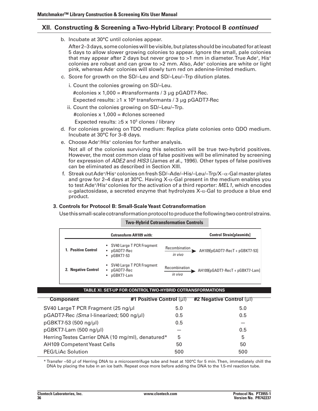b. Incubate at 30°C until colonies appear.

After 2–3 days, some colonies will be visible, but plates should be incubated for at least 5 days to allow slower growing colonies to appear. Ignore the small, pale colonies that may appear after 2 days but never grow to  $>1$  mm in diameter. True Ade+, His+ colonies are robust and can grow to  $>2$  mm. Also, Ade<sup>+</sup> colonies are white or light pink, whereas Ade– colonies will slowly turn red on adenine-limited medium.

- c. Score for growth on the SD/-Leu and SD/-Leu/-Trp dilution plates.
	- i. Count the colonies growing on SD/-Leu.

 #colonies x 1,000 = #transformants / 3 µg pGADT7-Rec.

Expected results:  $\geq 1 \times 10^6$  transformants / 3 µg pGADT7-Rec

ii. Count the colonies growing on SD/-Leu/-Trp.

 #colonies x 1,000 = #clones screened

Expected results:  $\geq$ 5 x 10<sup>5</sup> clones / library

- d. For colonies growing on TDO medium: Replica plate colonies onto QDO medium. Incubate at 30°C for 3–8 days.
- e. Choose Ade+/His+ colonies for further analysis**.**

 Not all of the colonies surviving this selection will be true two-hybrid positives. However, the most common class of false positives will be eliminated by screening for expression of *ADE2* and *HIS3* (James *et a*l., 1996). Other types of false positives can be eliminated as described in Section XIII.

f. Streak out Ade+/His+ colonies on fresh SD/–Ade/–His/–Leu/–Trp/X–α-Gal master plates and grow for 2–4 days at 30°C. Having  $X$ - $\alpha$ -Gal present in the medium enables you to test Ade+/His+ colonies for the activation of a third reporter: *MEL1*, which encodes  $\alpha$ -galactosidase, a secreted enzyme that hydrolyzes X- $\alpha$ -Gal to produce a blue end product.

### **3. Controls for Protocol B: Small-ScaleYeast Cotransformation**

 Usethissmall-scalecotransformationprotocoltoproducethefollowingtwocontrolstrains.

#### **Two-Hybrid Cotransformation Controls**

|                            | <b>Cotransform AH109 with:</b>                               | <b>Control Strain[plasmids]</b>                             |
|----------------------------|--------------------------------------------------------------|-------------------------------------------------------------|
| <b>1. Positive Control</b> | • SV40 Large T PCR Fragment<br>pGADT7-Rec<br>٠<br>pGBKT7-53  | Recombination<br>AH109[pGADT7-RecT + pGBKT7-53]<br>in vivo  |
| 2. Negative Control        | • SV40 Large T PCR Fragment<br>pGADT7-Rec<br>٠<br>pGBKT7-Lam | Recombination<br>AH109[pGADT7-RecT + pGBKT7-Lam]<br>in vivo |

#### **table XI. Set-up for Control Two-hybrid Cotransformations**

| <b>Component</b>                                  | #1 Positive Control $(\text{ul})$ | #2 Negative Control $(\mu$ |
|---------------------------------------------------|-----------------------------------|----------------------------|
| SV40 Large T PCR Fragment (25 ng/µl               | 5.0                               | 5.0                        |
| pGADT7-Rec (Sma I-linearized; 500 ng/µl)          | 0.5                               | 0.5                        |
| pGBKT7-53 (500 ng/µl)                             | 0.5                               |                            |
| pGBKT7-Lam (500 ng/µl)                            |                                   | 0.5                        |
| Herring Testes Carrier DNA (10 mg/ml), denatured* | 5                                 | 5                          |
| <b>AH109 Competent Yeast Cells</b>                | 50                                | 50                         |
| PEG/LiAc Solution                                 | 500                               | 500                        |

 \* Transfer ~50 µl of Herring DNA to a microcentrifuge tube and heat at 100°C for 5 min.Then, immediately chill the DNA by placing the tube in an ice bath. Repeat once more before adding the DNA to the 1.5-ml reaction tube.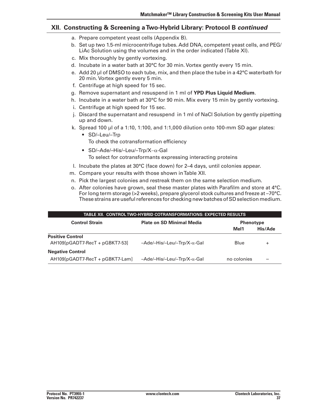- a. Prepare competent yeast cells (Appendix B).
- b. Set up two 1.5-ml microcentrifuge tubes. Add DNA, competent yeast cells, and PEG/ LiAc Solution using the volumes and in the order indicated (Table XI).
- c. Mix thoroughly by gently vortexing.
- d. Incubate in a water bath at 30°C for 30 min. Vortex gently every 15 min.
- e. Add 20  $\mu$  of DMSO to each tube, mix, and then place the tube in a 42 $\degree$ C waterbath for 20 min. Vortex gently every 5 min.
- f. Centrifuge at high speed for 15 sec.
- g. Remove supernatant and resuspend in 1 ml of **YPD Plus Liquid Medium**.
- h. Incubate in a water bath at  $30^{\circ}$ C for 90 min. Mix every 15 min by gently vortexing.
- i. Centrifuge at high speed for 15 sec.
- j. Discard the supernatant and resuspend in 1 ml of NaCl Solution by gently pipetting up and down.
- k. Spread 100  $\mu$  of a 1:10, 1:100, and 1:1,000 dilution onto 100-mm SD agar plates:
	- • SD/–Leu/–Trp To check the cotransformation efficiency
	- • SD/–Ade/–His/–Leu/–Trp/X−α-Gal To select for cotransformants expressing interacting proteins
- 1. Incubate the plates at  $30^{\circ}$ C (face down) for 2–4 days, until colonies appear.
- m. Compare your results with those shown in Table XII.
- n. Pick the largest colonies and restreak them on the same selection medium.
- o. After colonies have grown, seal these master plates with Parafilm and store at 4°C. Forlong term storage (>2 weeks), prepare glycerol stock cultures and freeze at –70°C. These strains are useful references for checking new batches of SD selection medium.

| TABLE XII. CONTROL TWO-HYBRID COTRANSFORMATIONS: EXPECTED RESULTS             |                                                     |             |           |
|-------------------------------------------------------------------------------|-----------------------------------------------------|-------------|-----------|
| <b>Control Strain</b><br><b>Plate on SD Minimal Media</b><br><b>Phenotype</b> |                                                     |             |           |
|                                                                               |                                                     | Mel1        | His/Ade   |
| <b>Positive Control</b><br>$AH109[pGADT7-RecT + pGBKT7-53]$                   | $-$ Ade/ $-$ His/ $-$ Leu/ $-$ Trp/X- $\alpha$ -Gal | Blue        | $\ddot{}$ |
| <b>Negative Control</b><br>AH109[pGADT7-RecT + pGBKT7-Lam]                    | $-$ Ade/ $-$ His/ $-$ Leu/ $-$ Trp/X- $\alpha$ -Gal | no colonies |           |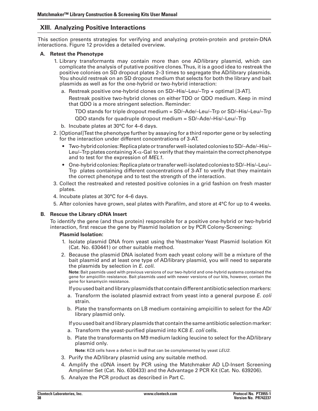# **XIII. Analyzing Positive Interactions**

This section presents strategies for verifying and analyzing protein-protein and protein-DNA interactions. Figure 12 provides a detailed overview.

#### **A. Retest the Phenotype**

- 1. Library transformants may contain more than one AD/library plasmid, which can complicate the analysis of putative positive clones.Thus, it is a good idea to restreak the positive colonies on SD dropout plates 2–3 times to segregate the AD/library plasmids. You should restreak on an SD dropout medium that selects for both the library and bait plasmids as well as for the one-hybrid or two-hybrid interaction:
	- a. Restreak positive one-hybrid clones on SD/–His/–Leu/–Trp + optimal [3-AT].

 Restreak positive two-hybrid clones on eitherTDO or QDO medium. Keep in mind that QDO is a more stringent selection. Reminder:

 TDO stands for triple dropout medium = SD/–Ade/–Leu/–Trp or SD/–His/–Leu/–Trp

 QDO stands for quadruple dropout medium = SD/–Ade/–His/–Leu/–Trp

- b. Incubate plates at 30°C for 4–6 days.
- 2. [Optional]Test the phenotype further by assaying for a third reporter gene or by selecting for the interaction under different concentrations of 3-AT.
	- Two-hybrid colonies: Replica plate or transfer well-isolated colonies to SD/-Ade/-His/-Leu/–Trp plates containing  $X-\alpha$ -Gal to verify that they maintain the correct phenotype and to test for the expression of *MEL1*.
	- One-hybrid colonies: Replica plate or transfer well-isolated colonies to SD/–His/–Leu/– Trp plates containing different concentrations of 3-AT to verify that they maintain the correct phenotype and to test the strength of the interaction.
- 3. Collect the restreaked and retested positive colonies in a grid fashion on fresh master plates.
- 4. Incubate plates at 30°C for 4–6 days.
- 5. After colonies have grown, seal plates with Parafilm, and store at 4°C for up to 4 weeks.

### **B. Rescue the Library cDNA Insert**

To identify the gene (and thus protein) responsible for a positive one-hybrid or two-hybrid interaction, first rescue the gene by Plasmid Isolation or by PCR Colony-Screening:

#### **Plasmid Isolation:**

- 1. Isolate plasmid DNA from yeast using the Yeastmaker Yeast Plasmid Isolation Kit (Cat. No. 630441) or other suitable method.
- 2. Because the plasmid DNA isolated from each yeast colony will be a mixture of the bait plasmid and at least one type of AD/library plasmid, you will need to separate the plasmids by selection in *E. coli.*

**Note:** Bait pasmids used with previous versions of our two-hybrid and one-hybrid systems contained the gene for ampicillin resistance. Bait plasmids used with newer versions of our kits, however, contain the gene for kanamycin resistance.

 Ifyouusedbaitandlibraryplasmids that containdifferentantibiotic selectionmarkers:

- a. Transform the isolated plasmid extract from yeast into a general purpose *E. coli* strain.
- b. Plate the transformants on LB medium containing ampicillin to select for the AD/ library plasmid only.

 Ifyouusedbaitandlibraryplasmids that containthe sameantibiotic selectionmarker:

- a. Transform the yeast-purified plasmid into KC8 *E. coli* cells.
- b. Plate the transformants on M9 medium lacking leucine to select for the AD/library plasmid only.

**Note:** KC8 cells have a defect in *leuB* that can be complemented by yeast *LEU2.*

- 3. Purify the AD/library plasmid using any suitable method.
- 4. Amplify the cDNA insert by PCR using the Matchmaker AD LD-Insert Screening Amplimer Set (Cat. No. 630433) and the Advantage 2 PCR Kit (Cat. No. 639206).
- 5. Analyze the PCR product as described in Part C.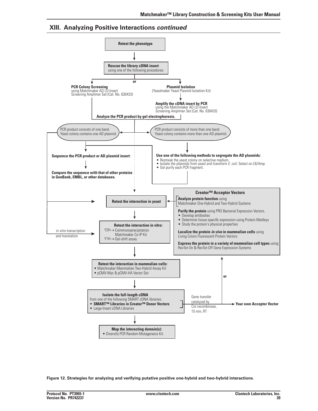

**Figure 12. Strategies for analyzing and verifying putative positive one-hybrid and two-hybrid interactions**.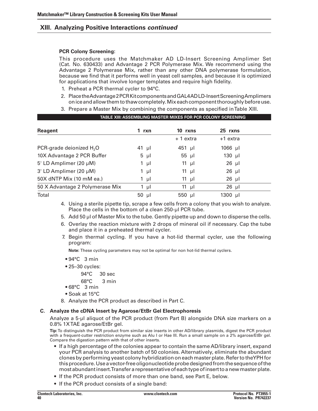#### **PCR Colony Screening:**

 This procedure uses the Matchmaker AD LD-Insert Screening Amplimer Set (Cat. No. 630433) and Advantage 2 PCR Polymerase Mix. We recommend using the Advantage 2 Polymerase Mix, rather than any other DNA polymerase formulation, because we find that it performs well in yeast cell samples, and because it is optimized for applications that involve longer templates and require high fidelity.

- 1. Preheat a PCR thermal cycler to 94°C.
- 2. Place the Advantage 2 PCR Kit components and GAL4ADLD-Insert Screening Amplimers oniceandallowthemtothawcompletely.Mixeachcomponentthoroughlybeforeuse.

 **TABLE XIII: ASSEMBLING MASTER MIXES for PCR colony screening**

 3. Prepare a Master Mix by combining the components as specified inTable XIII.

| <u>INDEE AIII: AUUEMDEMU MAUTEN MIAEU FUNTUN UUEUNT UUNEENING</u> |                          |                   |
|-------------------------------------------------------------------|--------------------------|-------------------|
| 1 rxn                                                             | 10 rxns                  | 25 rxns           |
|                                                                   | + 1 extra                | +1 extra          |
| $41$ µl                                                           | $451$ µl                 | $1066$ µl         |
| $5 \mu l$                                                         | $55 \text{ }\mu\text{l}$ | $130$ µl          |
| 1 $\mu$                                                           | 11 $\mu$                 | $26$ µl           |
| 1 µl                                                              | 11 $\mu$                 | $26$ µl           |
| - µI                                                              | 11 $\mu$                 | $26$ µl           |
| 1 $\mu$ l                                                         | 11 $\mu$                 | $26$ µl           |
| $50$ µl                                                           | 550 µl                   | $1300 \text{ µl}$ |
|                                                                   |                          |                   |

4. Using a sterile pipette tip, scrape a few cells from a colony that you wish to analyze. Place the cells in the bottom of a clean 250-µl PCR tube.

5. Add 50 µl of Master Mix to the tube. Gently pipette up and down to disperse the cells.

- 6. Overlay the reaction mixture with 2 drops of mineral oil if necessary. Cap the tube and place it in a preheated thermal cycler.
- 7. Begin thermal cycling. If you have a hot-lid thermal cycler, use the following program:

 **Note:** These cycling parameters may not be optimal for non hot-lid thermal cyclers.

- $94°C 3 min$
- 25-30 cycles:
	- 94°C 30 sec
	- 68°C 3 min
- $•68°C$  3 min
- Soak at 15°C
- 8. Analyze the PCR product as described in Part C.

### **C. Analyze the cDNA Insert by Agarose/EtBr Gel Electrophoresis**

Analyze a 5-µl aliquot of the PCR product (from Part B) alongside DNA size markers on a 0.8% 1XTAE agarose/EtBr gel.

**Tip:**To distinguish the PCR product from similar size inserts in other AD/library plasmids, digest the PCR product with a frequent-cutter restriction enzyme such as Alu I or Hae III. Run a small sample on a 2% agarose/EtBr gel. Compare the digestion pattern with that of other inserts.

- If a high percentage of the colonies appear to contain the same AD/library insert, expand your PCR analysis to another batch of 50 colonies. Alternatively, eliminate the abundant clonesbyperformingyeast colonyhybridizationoneachmasterplate.RefertotheYPH for thisprocedure.Useavector-freeoligonucleotideprobedesignedfromthesequenceofthe mostabundantinsert.Transferarepresentativeofeachtypeofinserttoanewmasterplate.
- • If the PCR product consists of more than one band, see Part E, below.
- If the PCR product consists of a single band: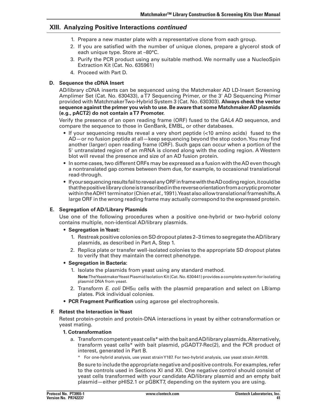- 1. Prepare a new master plate with a representative clone from each group.
- 2. If you are satisfied with the number of unique clones, prepare a glycerol stock of each unique type. Store at –80°C.
- 3. Purify the PCR product using any suitable method. We normally use a NucleoSpin Extraction Kit (Cat. No. 635961)
- 4. Proceed with Part D.

### **D. Sequence the cDNA Insert**

AD/library cDNA inserts can be sequenced using the Matchmaker AD LD-Insert Screening Amplimer Set (Cat. No. 630433), aT7 Sequencing Primer, or the 3' AD Sequencing Primer provided with MatchmakerTwo-Hybrid System 3 (Cat. No. 630303). **Always check the vector sequence against the primer you wish to use. Be aware that some MatchmakerAD plasmids (e.g., pACT2) do not contain aT7 Promoter.**

Verify the presence of an open reading frame (ORF) fused to the GAL4 AD sequence, and compare the sequence to those in GenBank, EMBL, or other databases.

- If your sequencing results reveal a very short peptide (<10 amino acids) fused to the AD—or no fusion peptide at all—keep sequencing beyond the stop codon.You may find another (larger) open reading frame (ORF). Such gaps can occur when a portion of the 5' untranslated region of an mRNA is cloned along with the coding region. A Western blot will reveal the presence and size of an AD fusion protein.
- In some cases, two different ORFs may be expressed as a fusion with the AD even though a nontranslated gap comes between them due, for example, to occasional translational read-through.
- If your sequencing results fail to reveal any ORF in frame with the AD coding region, it could be thatthepositivelibrarycloneistranscribedinthereverseorientationfromacrypticpromoter withintheADH1terminator(Chien*et al*.,1991).Yeastalsoallowtranslationalframeshifts.A large ORF in the wrong reading frame may actually correspond to the expressed protein.

### **E. Segregation of AD/Library Plasmids**

Use one of the following procedures when a positive one-hybrid or two-hybrid colony contains multiple, non-identical AD/library plasmids.

#### **• Segregation inYeast:**

- 1. Restreak positive colonies on SD dropout plates 2-3 times to segregate the AD/library plasmids, as described in Part A, Step 1.
- 2. Replica plate or transfer well-isolated colonies to the appropriate SD dropout plates to verify that they maintain the correct phenotype.

#### **• Segregation in Bacteria:**

- 1. Isolate the plasmids from yeast using any standard method. Note:TheYeastmakerYeast Plasmid Isolation Kit (Cat. No. 630441) provides a complete system for isolating plasmid DNA from yeast.
- 2. Transform *E. coli* DH5α cells with the plasmid preparation and select on LB/amp plates. Pick individual colonies.
- **• PCR Fragment Purification** using agarose gel electrophoresis.

### **F. Retest the Interaction inYeast**

 Retest protein-protein and protein-DNA interactions in yeast by either cotransformation or yeast mating.

#### **1. Cotransformation**

- a. Transform competent yeast cells\* with the bait and AD/library plasmids. Alternatively, transform yeast cells\* with bait plasmid, pGADT7-Rec(2), and the PCR product of interest, generated in Part B.
	- \* For one-hybrid analysis, use yeast strainY187. For two-hybrid analysis, use yeast strain AH109.

Be sure to include the appropriate negative and positive controls. For examples, refer to the controls used in Sections XI and XII. One negative control should consist of yeast cells transformed with your candidate AD/library plasmid and an empty bait plasmid—either pHIS2.1 or pGBKT7, depending on the system you are using.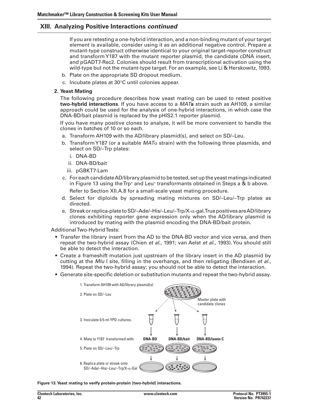If you are retesting a one-hybrid interaction, and a non-binding mutant of yourtarget element is available, consider using it as an additional negative control. Prepare a mutant-type construct otherwise identical to your original target-reporter construct and transformY187 with the mutant reporter plasmid, the candidate cDNA insert, and pGADT7-Rec2. Colonies should result from transcriptional activation using the wild-type but not the mutant-type target. For an example, see Li & Herskowitz, 1993.

- b. Plate on the appropriate SD dropout medium.
- c. Incubate plates at  $30^{\circ}$ C until colonies appear.

### **2. Yeast Mating**

 The following procedure describes how yeast mating can be used to retest positive **two-hybrid interactions**. If you have access to a *MAT***a** strain such as AH109, a similar approach could be used for the analysis of one-hybrid interactions, in which case the DNA-BD/bait plasmid is replaced by the pHIS2.1 reporter plasmid.

 If you have many positive clones to analyze, it will be more convenient to handle the clones in batches of 10 or so each.

- a. Transform AH109 with the AD/library plasmid(s), and select on SD/-Leu.
- b. Transform Y187 (or a suitable  $MAT\alpha$  strain) with the following three plasmids, and select on SD/–Trp plates:
	- i. DNA-BD
	- ii. DNA-BD/bait
	- iii. pGBKT7-Lam
- c. For each candidate AD/library plasmid to be tested, set up the yeast matings indicated in Figure 13 using the Trp<sup>+</sup> and Leu<sup>+</sup> transformants obtained in Steps a  $\&$  b above. Refer to Section XII.A.8 for a small-scale yeast mating procedure.

d. Select for diploids by spreading mating mixtures on SD/–Leu/–Trp plates as directed.

e. Streak or replica-plate to SD/–Ade/–His/–Leu/–Trp/X- $\alpha$ -gal.True positives are AD/library clones exhibiting reporter gene expression only when the AD/library plasmid is introduced by mating with the plasmid encoding the DNA-BD/bait protein.

AdditionalTwo-HybridTests:

- Transfer the library insert from the AD to the DNA-BD vector and vice versa, and then repeat the two-hybrid assay (Chien *et al*., 1991; van Aelst *et al*., 1993).You should still be able to detect the interaction.
- Create a frameshift mutation just upstream of the library insert in the AD plasmid by cutting at the *Mlu* I site, filling in the overhangs, and then religating (Bendixen *et al*., 1994). Repeat the two-hybrid assay; you should not be able to detect the interaction.
- • Generate site-specific deletion or substitution mutants and repeat the two-hybrid assay.



**Figure 13.Yeast mating to verify protein-protein (two-hybrid) interactions.**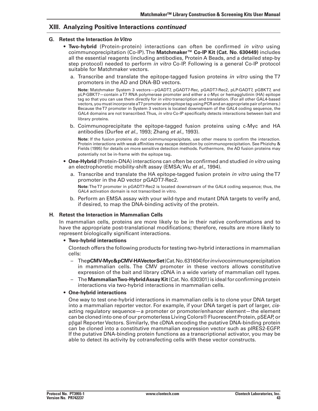#### **G. Retest the Interaction** *In Vitro*

- • **Two-hybrid** (Protein-protein) interactions can often be confirmed *in vitro* using coimmunoprecipitation (Co-IP).The **Matchmaker™ Co-IP Kit (Cat. No. 630449)** includes all the essential reagents (including antibodies, Protein A Beads, and a detailed step-by step protocol) needed to perform *in vitro* Co-IP. Following is a general Co-IP protocol suitable for Matchmaker vectors.
	- a. Transcribe and translate the epitope-tagged fusion proteins *in vitro* using the T7 promoters in the AD and DNA-BD vectors.

 **Note:** Matchmaker System 3 vectors—pGADT7, pGADT7-Rec, pGADT7-Rec2, pLP-GADT7, pGBKT7, and pLP-GBKT7—contain aT7 RNA polymerase promoter and either a c-Myc or hemagglutinin (HA) epitope tag so that you can use them directly for *in vitro* transcription and translation. (For all other GAL4-based vectors, you must incorporate aT7 promoter and epitope tag using PCR and an appropriate pair of primers.) Because theT7 promoter in System 3 vectors is located downstream of the GAL4 coding sequence, the GAL4 domains are not transcribed.Thus, *in vitro* Co-IP specifically detects interactions between bait and library proteins.

 b. Coimmunoprecipitate the epitope-tagged fusion proteins using c-Myc and HA antibodies (Durfee *et al*., 1993; Zhang *et al*., 1993).

 **Note:** If the fusion proteins *do not* coimmunoprecipitate*,* use other means to confirm the interaction. Protein interactions with weak affinities may escape detection by coimmunoprecipitation. See Phizichy & Fields (1995) for details on more sensitive detection methods. Furthermore, the AD fusion proteins may potentially not be in-frame with the epitope tag.

- • **One-Hybrid** (Protein-DNA) interactions can often be confirmed and studied *in vitro* using an electrophoretic mobility-shift assay (EMSA; Wu *et al.,* 1994).
	- a. Transcribe and translate the HA epitope-tagged fusion protein *in vitro* using the T7 promoter in the AD vector pGADT7-Rec2. **Note:**TheT7 promoter in pGADT7-Rec2 is located downstream of the GAL4 coding sequence; thus, the

GAL4 activation domain is not transcribed in vitro.

b. Perform an EMSA assay with your wild-type and mutant DNA targets to verify and, if desired, to map the DNA-binding activity of the protein.

#### **H. Retest the Interaction in Mammalian Cells**

In mammalian cells, proteins are more likely to be in their native conformations and to have the appropriate post-translational modifications; therefore, results are more likely to represent biologically significant interactions.

#### • **Two-hybrid interactions**

 Clontech offers the following products for testing two-hybrid interactions in mammalian cells:

- – The**pCMV-Myc&pCMV-HAVectorSet**(Cat.No.631604)for *in vivo*coimmunoprecipitation in mammalian cells. The CMV promoter in these vectors allows constitutive expression of the bait and library cDNA in a wide variety of mammalian cell types.
- The **MammalianTwo-HybridAssay Kit** (Cat. No. 630301) is ideal for confirming protein interactions via two-hybrid interactions in mammalian cells.

#### • **One-hybrid interactions**

 One way to test one-hybrid interactions in mammalian cells is to clone your DNA target into a mammalian reporter vector. For example, if your DNA target is part of larger, *cis*acting regulatory sequence—a promoter or promoter/enhancer element—the element can be cloned into one of our promoterless LivingColors® Fluorescent Protein, pSEAP, or pβgal ReporterVectors. Similarly, the cDNA encoding the putative DNA-binding protein can be cloned into a constitutive mammalian expression vector such as pIRES2-EGFP. If the putative DNA-binding protein functions as a transcriptional activator, you may be able to detect its activity by cotransfecting cells with these vector constructs.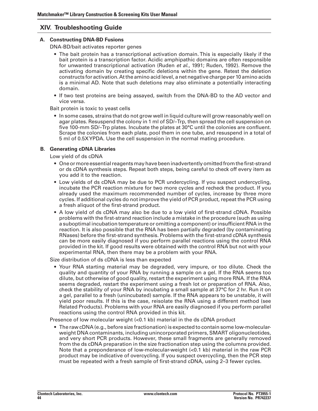# **XIV. Troubleshooting Guide**

#### **A. Constructing DNA-BD Fusions**

DNA-BD/bait activates reporter genes

- The bait protein has a transcriptional activation domain. This is especially likely if the bait protein is a transcription factor. Acidic amphipathic domains are often responsible for unwanted transcriptional activation (Ruden *et al*., 1991; Ruden, 1992). Remove the activating domain by creating specific deletions within the gene. Retest the deletion constructs for activation.Atthe amino acid level, a net negative charge per 10 amino acids is a minimal AD. Note that such deletions may also eliminate a potentially interacting domain.
- If two test proteins are being assayed, switch from the DNA-BD to the AD vector and vice versa.

Bait protein is toxic to yeast cells

• In some cases, strains that do not grow well in liquid culture will grow reasonably well on agar plates. Resuspend the colony in 1 ml of SD/–Trp, then spread the cell suspension on five 100-mm SD/–Trp plates. Incubate the plates at 30°C until the colonies are confluent. Scrape the colonies from each plate, pool them in one tube, and resuspend in a total of 5 ml of 0.5XYPDA. Use the cell suspension in the normal mating procedure.

### **B. Generating cDNA Libraries**

Low yield of ds cDNA

- One or more essential reagents may have been inadvertently omitted from the first-strand or ds cDNA synthesis steps. Repeat both steps, being careful to check off every item as you add it to the reaction.
- • Low yields of ds cDNA may be due to PCR undercycling. If you suspect undercycling, incubate the PCR reaction mixture for two more cycles and recheck the product. If you already used the maximum recommended number of cycles, increase by three more cycles. If additional cycles do not improve the yield of PCR product, repeat the PCR using a fresh aliquot of the first-strand product.
- A low yield of ds cDNA may also be due to a low yield of first-strand cDNA. Possible problems with the first-strand reaction include a mistake in the procedure (such as using a suboptimal incubation temperature or omitting a component) orinsufficient RNA in the reaction. It is also possible that the RNA has been partially degraded (by contaminating RNases) before the first-strand synthesis. Problems with the first-strand cDNA synthesis can be more easily diagnosed if you perform parallel reactions using the control RNA provided in the kit. If good results were obtained with the control RNA but not with your experimental RNA, then there may be a problem with your RNA.

Size distribution of ds cDNA is less than expected

• Your RNA starting material may be degraded, very impure, or too dilute. Check the quality and quantity of your RNA by running a sample on a gel. If the RNA seems too dilute, but otherwise of good quality, restart the experiment using more RNA. If the RNA seems degraded, restart the experiment using a fresh lot or preparation of RNA. Also, check the stability of your RNA by incubating a small sample at 37°C for 2 hr. Run it on a gel, parallel to a fresh (unincubated) sample. If the RNA appears to be unstable, it will yield poor results. If this is the case, reisolate the RNA using a different method (see Related Products). Problems with your RNA are easily diagnosed if you perform parallel reactions using the control RNA provided in this kit.

Presence of low molecular weight (<0.1 kb) material in the ds cDNA product

• The raw cDNA (e.g., before size fractionation) is expected to contain some low-molecularweight DNA contaminants, including unincorporated primers, SMART oligonucleotides, and very short PCR products. However, these small fragments are generally removed from the ds cDNA preparation in the size fractionation step using the columns provided. Note that a preponderance of low-molecular-weight (<0.1 kb) material in the raw PCR product may be indicative of overcycling. If you suspect overcycling, then the PCR step must be repeated with a fresh sample of first-strand cDNA, using 2–3 fewer cycles.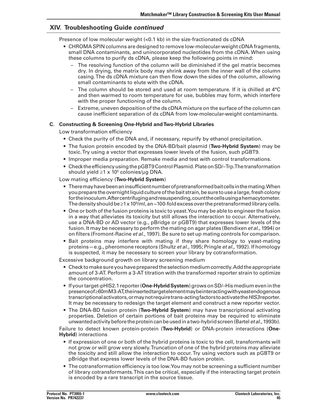### **XIV. Troubleshooting Guide** *continued*

Presence of low molecular weight (<0.1 kb) in the size-fractionated ds cDNA

- • CHROMA SPIN columns are designed to remove low-molecular-weight cDNA fragments, small DNA contaminants, and unincorporated nucleotides from the cDNA. When using these columns to purify ds cDNA, please keep the following points in mind:
	- The resolving function of the column will be diminished if the gel matrix becomes dry. In drying, the matrix body may shrink away from the inner wall of the column casing.The ds cDNA mixture can then flow down the sides of the column, allowing small contaminants to elute with the cDNA.
	- The column should be stored and used at room temperature. If it is chilled at  $4^{\circ}$ C and then warmed to room temperature for use, bubbles may form, which interfere with the proper functioning of the column.
	- Extreme, uneven deposition of the ds cDNA mixture on the surface of the column can cause inefficient separation of ds cDNA from low-molecular-weight contaminants.

#### **C. Constructing & Screening One-Hybrid andTwo-Hybrid Libraries**

Low transformation efficiency

- Check the purity of the DNA and, if necessary, repurify by ethanol precipitation.
- • The fusion protein encoded by the DNA-BD/bait plasmid (**Two-Hybrid System**) may be toxic.Try using a vector that expresses lower levels of the fusion, such pGBT9.
- • Improper media preparation. Remake media and test with control transformations.
- • ChecktheefficiencyusingthepGBT9ControlPlasmid.PlateonSD/–Trp.Thetransformation should yield  $\geq 1 \times 10^5$  colonies/µg DNA.

#### Low mating efficiency (**Two-Hybrid System**)

- • Theremayhavebeenaninsufficientnumberofpretransformedbaitcellsinthemating.When you prepare the overnight liquid culture of the bait strain, be sure to use a large, fresh colony fortheinoculum.Aftercentrifugingandresuspending,countthecellsusingahemacytometer. The density should be ≥1 x 10 $^{\rm 9}$ /ml, an ~100-fold excess over the pretransformed library cells.
- One or both of the fusion proteins is toxic to yeast. You may be able to engineer the fusion in a way that alleviates its toxicity but still allows the interaction to occur. Alternatively, use a DNA-BD or AD vector (e.g., pBridge or pGBT9) that expresses lower levels of the fusion. It may be necessary to perform the mating on agar plates (Bendixen *et al.*, 1994) or on filters (Fromont-Racine *et al*., 1997). Be sure to set up mating controls for comparison.
- Bait proteins may interfere with mating if they share homology to veast-mating proteins—e.g., pheromone receptors (Shultz *et al.,* 1995; Pringle *et al*., 1992). If homology is suspected, it may be necessary to screen your library by cotransformation.

Excessive background growth on library screening medium

- $\bullet$  Check to make sure you have prepared the selection medium correctly. Add the appropriate amount of 3-AT. Perform a 3-AT titration with the transformed reporter strain to optimize the concentration.
- If your target-pHIS2.1 reporter (**One-Hybrid System**) grows on SD/–His medium even in the presenceof≥60mM3-AT,theinsertedtargetelementmaybeinteractingwithyeastendogenous transcriptionalactivators,ormaynotrequiretrans-actingfactorstoactivatethe*HIS3*reporter. It may be necessary to redesign the target element and construct a new reporter vector.
- • The DNA-BD fusion protein (**Two-Hybrid System**) may have transcriptional activating properties. Deletion of certain portions of bait proteins may be required to eliminate unwantedactivitybeforetheproteincanbeusedinatwo-hybridscreen(Bartel*et al.*,1993b).

Failure to detect known protein-protein (**Two-Hybrid**) or DNA-protein interactions (**One-Hybrid**) interactions

- • If expression of one or both of the hybrid proteins is toxic to the cell, transformants will not grow or will grow very slowly.Truncation of one of the hybrid proteins may alleviate the toxicity and still allow the interaction to occur.Try using vectors such as pGBT9 or pBridge that express lower levels of the DNA-BD fusion protein.
- The cotransformation efficiency is too low. You may not be screening a sufficient number of library cotransformants.This can be critical, especially if the interacting target protein is encoded by a rare transcript in the source tissue.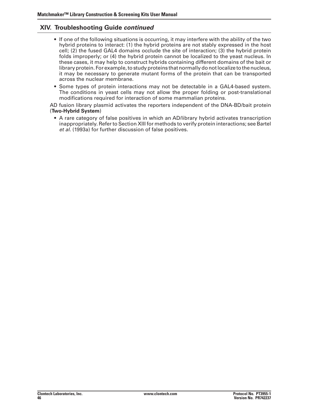### **XIV. Troubleshooting Guide** *continued*

- If one of the following situations is occurring, it may interfere with the ability of the two hybrid proteins to interact: (1) the hybrid proteins are not stably expressed in the host cell; (2) the fused GAL4 domains occlude the site of interaction; (3) the hybrid protein folds improperly; or (4) the hybrid protein cannot be localized to the yeast nucleus. In these cases, it may help to construct hybrids containing different domains of the bait or library protein. For example, to study proteins that normally do not localize to the nucleus, it may be necessary to generate mutant forms of the protein that can be transported across the nuclear membrane.
- • Some types of protein interactions may not be detectable in a GAL4-based system. The conditions in yeast cells may not allow the proper folding or post-translational modifications required for interaction of some mammalian proteins.

AD fusion library plasmid activates the reporters independent of the DNA-BD/bait protein (**Two-Hybrid System**)

 • A rare category of false positives in which an AD/library hybrid activates transcription inappropriately. Referto Section XIII for methods to verify protein interactions; see Bartel *et al.* (1993a) for further discussion of false positives.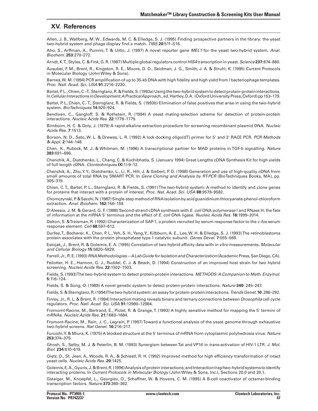### **XV. References**

Allen, J. B., Wallberg, M. W., Edwards, M. C. & Elledge, S. J. (1995) Finding prospective partners in the library: the yeast two-hybrid system and phage display find a match. *TIBS* **20**:511–516.

Aho, S., Arffman, A., Pummi, T. & Uitto, J. (1997) A novel reporter gene *MEL1* for the yeast two-hybrid system. *Anal. Biochem.* **253**:270–272.

Arndt,K.T.,Styles,C. & Fink, G.R.(1987) Multiple globalregulators control *HIS4* transcription in yeast.*Science* **237**:874–880.

Ausubel, F. M., Brent, R., Kingston, R. E., Moore, D. D., Seidman, J. G., Smith, J. A. & Struhl, K. (1995) Current Protocols in Molecular Biology (John Wiley & Sons).

Barnes,W. M. (1994) PCR amplification of up to 35-kb DNA with high fidelity and high yield from l bacteriophage templates. *Proc. Natl. Acad. Sci. USA* **91**:2216–2220.

Bartel, P.L., Chien, C.-T., Sternglanz, R. & Fields, S. (1993a) Using the two-hybrid system to detect protein-protein interactions. In*Cellular Interactions in Development: A Practical Approach*.,ed.Hartley,D.A. (OxfordUniversityPress,Oxford)pp153–179.

Bartel, P. L, Chien, C.-T., Sternglanz, R. & Fields, S. (1993b) Elimination of false positives that arise in using the two-hybrid system. *BioTechniques* **14**:920–924.

Bendixen, C., Gangloff, S. & Rothstein, R. (1994) A yeast mating-selection scheme for detection of protein-protein interactions. *Nucleic Acids Res.* **22**:1778–1779.

Birnboim, H. C. & Doly, J. (1979) A rapid alkaline extraction procedure for screening recombinant plasmid DNA. *Nucleic Acids Res.* **7**:1513.

Borson, N. D., Sato, W. L. & Drewes, L. R. (1992) A lock-docking oligo(dT) primer for 5' and 3' RACE PCR. *PCR Methods & Appl.* **2**:144–148.

Chen, X., Rubock, M. J. & Whitman, M. (1996) A transcriptional partner for MAD proteins in TGF-b signalling. *Nature* **383**:691–696.

Chenchik, A., Diatchenko, L., Chang, C. & Kuchibhatla, S. (January 1994) Great Lengths cDNA Synthesis Kit for high yields of full-length cDNA. *Clontechniques* **IX**(1):9–12.

Chenchik, A., Zhu,Y.Y., Diatchenko, L., Li, R., Hill, J. & Siebert, P. D. (1998) Generation and use of high-quality cDNA from small amounts of total RNA by SMART PCR. In *Gene Cloning and Analysis by RT-PCR* (BioTechniques Books, MA), pp. 305–319.

Chien, C.T., Bartel, P. L., Sternglanz, R. & Fields, S. (1991)The two-hybrid system: A method to identify and clone genes for proteins that interact with a protein of interest. *Proc. Nat. Acad. Sci. USA* **88**:9578–9582.

Chomczynski,P.&Sacchi,N.(1987)Single-stepmethodofRNAisolationbyacidguanidiniumthiocyanate-phenol-chloroform extraction. *Anal. Biochem.* **162**:156–159.

D'Alessio, J. M. & Gerard, G. F. (1988) Second-strand cDNA synthesis with *E. coli* DNA polymerase I and RNase H: the fate of information at the mRNA 5' terminus and the effect of *E. coli* DNA ligase. *Nucleic Acids Res*. **16:**1999–2014.

Dalton, S. &Treisman, R. (1992) Characterization of SAP-1, a protein recruited by serum response factor to the *c-fos* serum response element. *Cell* **68**:597–612.

Durfee,T., Becherer, K., Chen, P. L.,Yeh, S. H.,Yang,Y., Kilbburn, A. E., Lee,W. H. & Elledge, S. J. (1993)The retinoblastoma protein associates with the protein phosphatase type 1 catalytic subunit. *Genes Devel.* **7**:555–569.

Estojak, J., Brent, R. & Golemis, E. A. (1995) Correlation of two-hybrid affinity data with *in vitro* measurements. *Molecular and Cellular Biology* **15**:5820–5829.

Farrell,Jr.,R.E.(1993)*RNA Methodologies—A Lab Guide for Isolation and Characterization*(AcademicPress,SanDiego,CA).

Feilotter, H. E., Hannon, G. J., Ruddel, C. J. & Beach, D. (1994) Construction of an improved host strain for two hybrid screening. *Nucleic Acids Res.* **22:**1502–1503.

Fields, S. (1993)The two-hybrid system to detect protein-protein interactions. *METHODS: A Companion to Meth. Enzymol*. **5:**116–124.

Fields, S. & Song, O. (1989) A novel genetic system to detect protein-protein interactions. *Nature* **340**: 245–247.

Fields,S.&Sternglanz,R**.**(1994)Thetwo-hybridsystem:anassayforprotein-proteininteractions.*Trends Genet.***10**:286–292.

Finley, Jr., R. L. & Brent, R. (1994) Interaction mating reveals binary and ternary connections between *Drosophila* cell cycle regulators. *Proc. Natl. Acad. Sci. USA* **91:**12980–12984.

Fromomt-Racine, M., Bertrand, E., Pictet, R. & Grange,T. (1993) A highly sensitive method for mapping the 5' termini of mRNAs. *Nucleic Acids Res*. **21:**1683–1684.

Fromont-Racine, M., Rain, J. C., Legrain, P. (1997)Toward a functional analysis of the yeast genome through exhaustive two-hybrid screens. *Nat Genet.* **16**:216–217.

Furuichi,Y. & Miura, K. (1975) A blocked structure at the 5' terminus of mRNA from cytoplasmic polyhedrosis virus. *Nature*  **253:**374–375.

Ghosh, S., Selby, M. J. & Peterlin, B. M. (1993) Synergism betweenTat and VP16 in *trans*-activation of HIV-1 LTR. *J. Mol. Biol.* **234**:610–619.

Gietz, D., St. Jean, A., Woods, R. A., & Schiestl, R. H. (1992) Improved method for high efficiency transformation of intact yeast cells. *Nucleic Acids Res*. **20**:1425.

Golemis,E.A.,Gyuris,J.&Brent,R.(1996)Analysisofproteininteractions;andInteractiontrap/two-hybridsystemstoidentify interacting proteins. In *Current Protocols in Molecular Biology* (John Wiley & Sons, Inc.), Sections 20.0 and 20.1.

Gstaiger, M., Knoepfel, L., Georgiev, O., Schaffner, W. & Hovens, C. M. (1995) A B-cell coactivator of octamer-binding transcription factors. *Nature* **373**:360–362.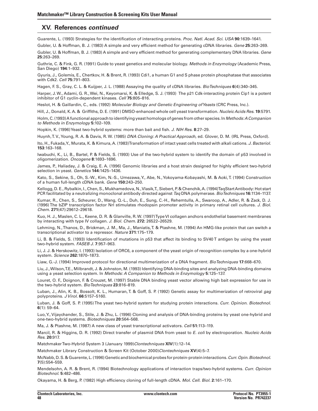### **XV. References** *continued*

Guarente, L. (1993) Strategies for the identification of interacting proteins. *Proc. Natl. Acad. Sci. USA* **90**:1639–1641.

Gubler, U. & Hoffman, B. J. (1983) A simple and very efficient method for generating cDNA libraries. *Gene* **25**:263–269.

Gubler, U. & Hoffman, B. J. (1983) A simple and very efficient method for generating complementary DNA libraries. *Gene* **25**:263–269.

Guthrie, C. & Fink, G. R. (1991) Guide to yeast genetics and molecular biology. *Methods in Enzymology* (Academic Press, San Diego) **194**:1–932.

Gyuris, J., Golemis, E., Chertkov, H. & Brent, R. (1993) Cdi1, a human G1 and S phase protein phosphatase that associates with Cdk2. *Cell* **75:**791–803.

Hagen, F. S., Gray, C. L. & Kuijper, J. L. (1988) Assaying the quality of cDNA libraries. *BioTechniques* **6**(4):340–345.

Harper, J.W., Adami, G. R.,Wei, N., Keyomarsi, K. & Elledge, S. J. (1993) The p21 Cdk-interacting protein Cip1 is a potent inhibitor of G1 cyclin-dependent kinases. *Cell* **75**:805–816.

Heslot, H. & Gaillardin, C., eds. (1992) *Molecular Biology and Genetic Engineering of Yeasts* (CRC Press, Inc.).

Hill, J., Donald, K. A. & Griffiths, D. E. (1991) DMSO-enhanced whole cell yeast transformation. *Nucleic Acids Res*. **19**:5791.

Holm,C.(1993)A functional approachtoidentifyingyeasthomologsofgenes fromother species. In*Methods: A Companion to Methods in Enzymology* **5:**102–109.

Hopkin, K. (1996)Yeast two-hybrid systems: more than bait and fish. *J. NIH Res*. **8**:27–29.

Huynh,T. V.,Young, R. A. & Davis, R. W. (1985) *DNA Cloning: A Practical Approach*, ed. Glover, D. M. (IRL Press, Oxford).

Ito, H., Fukada,Y., Murata, K. & Kimura, A. (1983)Transformation of intact yeast cells treated with alkali cations. *J. Bacteriol.*  **153**:163–168.

Iwabuchi, K., Li, B., Bartel, P. & Fields, S. (1993) Use of the two-hybrid system to identify the domain of p53 involved in oligomerization. *Oncogene* **8**:1693–1696.

James, P., Haliaday, J. & Craig, E. A. (1996) Genomic libraries and a host strain designed for highly efficient two-hybrid selection in yeast. *Genetics* **144:**1425–1436.

Kato, S., Sekine, S., Oh, S.-W., Kim, N.-S., Umezawa,Y., Abe, N.,Yokoyama-Kobayashi, M. & Aoki,T. (1994) Construction of a human full-length cDNA bank. *Gene* **150:**243–250.

Kellogg, D. E.,Rybalkin, I.,Chen,S., Mukhamedova, N.,Vlasik,T.,Siebert, P. & Chenchik,A.(1994)TaqStartAntibody: Hot start PCR facilitated by a neutralizing monoclonal antibody directed against *Taq* DNA polymerase. *BioTechniques* **16:**1134–1137.

Kumar, R., Chen, S., Scheurer, D., Wang, Q.-L., Duh, E., Sung, C.-H., Rehemtulla, A., Swaroop, A., Adler, R. & Zack, D. J. (1996) The bZIP transcription factor Nrl stimulates rhodopsin promoter activity in primary retinal cell cultures. *J. Biol. Chem.* **271**(47):29612–29618.

Kuo, H. J., Maslen, C. L., Keene, D. R. & Glanville, R.W. (1997)TypeVI collagen anchors endothelial basement membranes by interacting with type IV collagen. *J. Biol. Chem.* **272:** 26522–26529.

Lehming, N.,Thanos, D., Brickman, J. M., Ma, J., Maniatis,T. & Ptashne, M. (1994) An HMG-like protein that can switch a transcriptional activator to a repressor. *Nature* **371**:175–179.

Li, B. & Fields, S. (1993) Identification of mutations in p53 that affect its binding to SV40 T antigen by using the yeast two-hybrid system. *FASEB J.* **7**:957–963.

Li, J. J. & Herskowitz, I. (1993) Isolation of ORC6, a component of the yeast origin of recognition complex by a one-hybrid system. *Science* **262:**1870–1873.

Liaw, G.-J. (1994) Improved protocol for directional multimerization of a DNA fragment. *BioTechniques* **17**:668–670.

Liu, J.,Wilson,T.E., Milbrandt, J. & Johnston, M. (1993) Identifying DNA-binding sites and analyzing DNA-binding domains using a yeast selection system. In *Methods: A Companion to Methods in Enzymology* **5**:125–137.

Louret, O. F., Doignon, F. & Crouzet, M. (1997) Stable DNA binding yeast vector allowing high bait expression for use in the two-hybrid system. *BioTechniques* **23**:816–819.

Luban, J., Alin, K. B., Bossolt, K. L., Humaran, T. & Goff, S. P. (1992) Genetic assay for multimerization of retroviral *gag* polyproteins. *J Virol.* **66**:5157–5160.

Luban, J. & Goff, S. P. (1995) The yeast two-hybrid system for studying protein interactions. *Curr. Opinion. Biotechnol.* **6**(1): 59–64.

Luo,Y., Vijaychander, S., Stile, J. & Zhu, L. (1996) Cloning and analysis of DNA-binding proteins by yeast one-hybrid and one-two-hybrid systems. *Biotechniques* **20**:564–568.

Ma, J. & Ptashne, M. (1987) A new class of yeast transcriptional activators. *Cell* **51:**113–119.

Marcil, R. & Higgins, D. R. (1992) Direct transfer of plasmid DNA from yeast to *E. coli* by electroporation. *Nucleic Acids Res*. **20:**917.

MatchmakerTwo-Hybrid System 3 (January 1999)*Clontechniques* **XIV**(1):12–14.

Matchmaker Library Construction & Screen Kit (October 2000)*Clontechniques* **XV**(4):5–7.

McNabb, D.S. & Guarente, L. (1996) Genetic and biochemical probes for protein-protein interactions. *Curr. Opin. Biotechnol.* **7**(5):554–559.

Mendelsohn, A. R. & Brent, R. (1994) Biotechnology applications of interaction traps/two-hybrid systems. *Curr. Opinion Biotechnol*. **5**:482–486.

Okayama, H. & Berg, P. (1982) High efficiency cloning of full-length cDNA. *Mol. Cell. Biol.* **2**:161–170.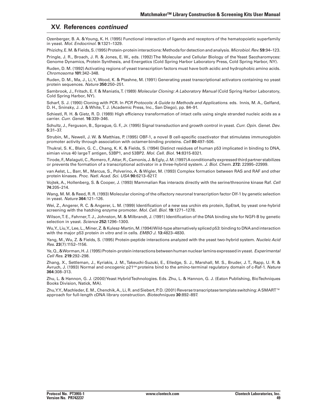### **XV. References** *continued*

Ozenberger, B. A. &Young, K. H. (1995) Functional interaction of ligands and receptors of the hematopoietic superfamily in yeast. *Mol. Endocrinol.* **9:**1321–1329.

Phizichy,E.M.&Fields,S.(1995)Protein-proteininteractions:Methods fordetectionandanalysis. *Microbiol. Rev.***59**:94–123. Pringle, J. R., Broach, J. R. & Jones, E. W., eds. (1992) The Molecular and Cellular Biology of the Yeast Saccharomyces:

Genome Dynamics, Protein Synthesis, and Energetics (Cold Spring Harbor Laboratory Press, Cold Spring Harbor, NY).

Ruden, D. M. (1992) Activating regions of yeast transcription factors must have both acidic and hydrophobic amino acids. *Chromosoma* **101**:342–348.

Ruden, D. M., Ma, J., Li,Y.,Wood, K. & Ptashne, M. (1991) Generating yeast transcriptional activators containing no yeast protein sequences. *Nature* **350**:250–251.

Sambrook, J., Fritsch, E. F. & Maniatis,T. (1989) *Molecular Cloning: A Laboratory Manual* (Cold Spring Harbor Laboratory, Cold Spring Harbor, NY).

Scharf, S. J. (1990) Cloning with PCR. In *PCR Protocols: A Guide to Methods and Applications*. eds. Innis, M. A., Gelfand, D. H., Sninsky, J. J. & White,T. J. (Academic Press, Inc., San Diego), pp. 84–91.

Schiestl, R. H. & Gietz, R. D. (1989) High efficiency transformation of intact cells using single stranded nucleic acids as a carrier. *Curr. Genet.* **16**:339–346.

Schultz, J., Ferguson, B., Sprague, G. F., Jr. (1995) Signal transduction and growth control in yeast. *Curr. Opin. Genet. Dev.* **5**:31–37.

Strubin, M., Newell, J. W. & Matthias, P. (1995) OBF-1, a novel B cell-specific coactivator that stimulates immunoglobin promoter activity through association with octamer-binding proteins. *Cell* **80**:497–506.

Thukral, S. K., Blain, G. C., Chang, K. K. & Fields, S. (1994) Distinct residues of human p53 implicated in binding to DNA, simian virus 40 largeT antigen, 53BP1, and 53BP2. *Mol. Cell. Biol.* **14**:8315-8321.

Tirode, F.,Malaguti,C.,Romero, F.,Attar,R.,Camonis, J.&Egly, J.M.(1997)A conditionally expressedthirdpartner stabilizes or prevents the formation of a transcriptional activator in a three-hybrid system. *J. Biol. Chem.* **272:** 22995–22999.

van Aelst, L., Barr, M., Marcus, S., Polverino, A. & Wigler, M. (1993) Complex formation between RAS and RAF and other protein kinases. *Proc. Natl. Acad. Sci. USA* **90**:6213–6217.

Vojtek, A., Hollenberg, S. & Cooper, J. (1993) Mammalian Ras interacts directly with the serine/threonine kinase Raf. *Cell* **74**:205–214.

Wang, M. M. & Reed, R. R. (1993) Molecular cloning of the olfactory neuronal transcription factor Olf-1 by genetic selection in yeast. *Nature* **364**:121–126.

Wei, Z., Angerer, R. C. & Angerer, L. M. (1999) Identification of a new sea urchin ets protein, SpEts4, by yeast one-hybrid screening with the hatching enzyme promoter. *Mol. Cell. Biol.* **19**:1271–1278.

Wilson,T. E., Fahrner,T. J., Johnston, M. & Milbrandt, J. (1991) Identification of the DNA binding site for NGFI-B by genetic selection in yeast. *Science* **252:**1296–1300.

Wu,Y., Liu,Y., Lee, L.,Miner, Z. & Kulesz-Martin,M.(1994)Wild-type alternatively spliced p53: binding to DNA and interaction with the major p53 protein *in vitro* and in cells. *EMBO J.* **13:**4823–4830.

Yang, M.,Wu, Z. & Fields, S. (1995) Protein-peptide interactions analyzed with the yeast two-hybrid system. *Nucleic Acid Res.* **23**(7):1152–1156.

Ye,Q.,&Worman,H. J.(1995)Protein-proteininteractionsbetweenhumannuclearlamins expressedinyeast. *Experimental Cell Res*. **219**:292–298.

Zhang, X., Settleman, J., Kyriakis, J. M., Takeuchi-Suzuki, E., Elledge, S. J., Marshall, M. S., Bruder, J. T., Rapp, U. R. & Avruch, J. (1993) Normal and oncogenic p21ras proteins bind to the amino-terminal regulatory domain of c-Raf-1. *Nature*  **364**:308–313.

Zhu, L. & Hannon, G. J. (2000)Yeast HybridTechnologies. Eds. Zhu, L. & Hannon, G. J. (Eaton Publishing, BioTechniques Books Division, Natick, MA).

Zhu,Y.Y., Machleder, E. M., Chenchik, A., Li, R. and Siebert, P. D. (2001) Reverse transcriptase template switching: A SMART™ approach for full-length cDNA library construction. *Biotechniques* **30**:892–897.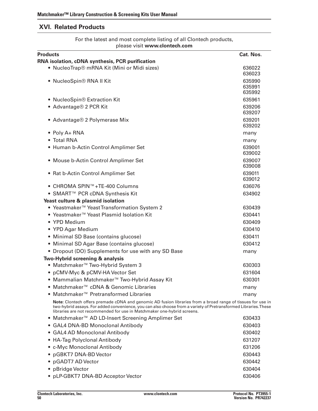# **XVI. Related Products**

For the latest and most complete listing of all Clontech products, please visit **www.clontech.com**

| <b>Products</b>                                                                                                                                                                                                                                                                                           | Cat. Nos.                  |
|-----------------------------------------------------------------------------------------------------------------------------------------------------------------------------------------------------------------------------------------------------------------------------------------------------------|----------------------------|
| RNA isolation, cDNA synthesis, PCR purification                                                                                                                                                                                                                                                           |                            |
| • NucleoTrap® mRNA Kit (Mini or Midi sizes)                                                                                                                                                                                                                                                               | 636022<br>636023           |
| · NucleoSpin® RNA II Kit                                                                                                                                                                                                                                                                                  | 635990<br>635991<br>635992 |
| • NucleoSpin® Extraction Kit                                                                                                                                                                                                                                                                              | 635961                     |
| • Advantage® 2 PCR Kit                                                                                                                                                                                                                                                                                    | 639206<br>639207           |
| • Advantage® 2 Polymerase Mix                                                                                                                                                                                                                                                                             | 639201<br>639202           |
| • Poly A+ RNA                                                                                                                                                                                                                                                                                             | many                       |
| • Total RNA                                                                                                                                                                                                                                                                                               | many                       |
| • Human b-Actin Control Amplimer Set                                                                                                                                                                                                                                                                      | 639001<br>639002           |
| • Mouse b-Actin Control Amplimer Set                                                                                                                                                                                                                                                                      | 639007<br>639008           |
| • Rat b-Actin Control Amplimer Set                                                                                                                                                                                                                                                                        | 639011<br>639012           |
| ● CHROMA SPIN™+TE-400 Columns                                                                                                                                                                                                                                                                             | 636076                     |
| • SMART <sup>™</sup> PCR cDNA Synthesis Kit                                                                                                                                                                                                                                                               | 634902                     |
| Yeast culture & plasmid isolation                                                                                                                                                                                                                                                                         |                            |
| ● Yeastmaker <sup>™</sup> Yeast Transformation System 2                                                                                                                                                                                                                                                   | 630439                     |
| ● Yeastmaker <sup>™</sup> Yeast Plasmid Isolation Kit                                                                                                                                                                                                                                                     | 630441                     |
| • YPD Medium                                                                                                                                                                                                                                                                                              | 630409                     |
| • YPD Agar Medium                                                                                                                                                                                                                                                                                         | 630410                     |
| • Minimal SD Base (contains glucose)                                                                                                                                                                                                                                                                      | 630411                     |
| • Minimal SD Agar Base (contains glucose)                                                                                                                                                                                                                                                                 | 630412                     |
| • Dropout (DO) Supplements for use with any SD Base                                                                                                                                                                                                                                                       | many                       |
| Two-Hybrid screening & analysis                                                                                                                                                                                                                                                                           |                            |
| • Matchmaker <sup>™</sup> Two-Hybrid System 3                                                                                                                                                                                                                                                             | 630303                     |
| • pCMV-Myc & pCMV-HA Vector Set                                                                                                                                                                                                                                                                           | 631604                     |
| • Mammalian Matchmaker™ Two-Hybrid Assay Kit                                                                                                                                                                                                                                                              | 630301                     |
| ● Matchmaker <sup>™</sup> cDNA & Genomic Libraries                                                                                                                                                                                                                                                        | many                       |
| ● Matchmaker <sup>™</sup> Pretransformed Libraries                                                                                                                                                                                                                                                        | many                       |
| Note: Clontech offers premade cDNA and genomic AD fusion libraries from a broad range of tissues for use in<br>two-hybrid assays. For added convenience, you can also choose from a variety of Pretransformed Libraries. These<br>libraries are not recommended for use in Matchmaker one-hybrid screens. |                            |
| Matchmaker <sup>™</sup> AD LD-Insert Screening Amplimer Set<br>$\bullet$                                                                                                                                                                                                                                  | 630433                     |
| · GAL4 DNA-BD Monoclonal Antibody                                                                                                                                                                                                                                                                         | 630403                     |

- GAL4 AD Monoclonal Antibody 630402 • HA-Tag Polyclonal Antibody 631207 • c-Myc Monoclonal Antibody 631206 • pGBKT7 DNA-BD Vector 630443 • pGADT7 AD Vector 630442 • pBridge Vector 630404
- pLP-GBKT7 DNA-BD Acceptor Vector **630406**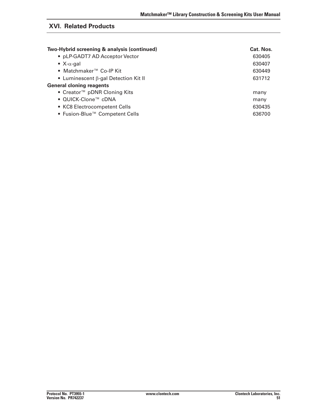# **XVI. Related Products**

| Two-Hybrid screening & analysis (continued) | Cat. Nos. |
|---------------------------------------------|-----------|
| • pLP-GADT7 AD Acceptor Vector              | 630405    |
| • $X$ - $\alpha$ -gal                       | 630407    |
| • Matchmaker <sup>™</sup> Co-IP Kit         | 630449    |
| • Luminescent $\beta$ -gal Detection Kit II | 631712    |
| <b>General cloning reagents</b>             |           |
| • Creator <sup>™</sup> pDNR Cloning Kits    | many      |
| ● QUICK-Clone™ cDNA                         | many      |
| • KC8 Electrocompetent Cells                | 630435    |
| • Fusion-Blue™ Competent Cells              | 636700    |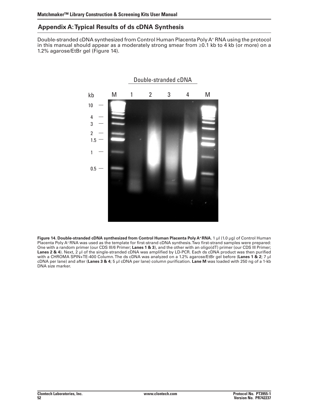# **Appendix A:Typical Results of ds cDNA Synthesis**

Double-stranded cDNA synthesized from Control Human Placenta Poly A+ RNA using the protocol in this manual should appear as a moderately strong smear from ≥0.1 kb to 4 kb (or more) on a 1.2% agarose/EtBr gel (Figure 14).



**Figure 14. Double-stranded cDNA synthesized from Control Human Placenta Poly A+RNA.** 1 µl (1.0 µg) of Control Human Placenta Poly A+RNA was used as the template for first-strand cDNA synthesis.Two first-strand samples were prepared: One with a random primer (our CDS III/6 Primer; **Lanes 1 & 3**), and the other with an oligo(dT) primer (our CDS III Primer; **Lanes 2 & 4**). Next, 2 µl of the single-stranded cDNA was amplified by LD-PCR. Each ds cDNA product was then purified with a CHROMA SPIN+TE-400 Column.The ds cDNA was analyzed on a 1.2% agarose/EtBr gel before (**Lanes 1 & 2**; 7 µl cDNA per lane) and after (**Lanes 3 & 4**; 5 µl cDNA per lane) column purification. **Lane M** was loaded with 250 ng of a 1-kb DNA size marker.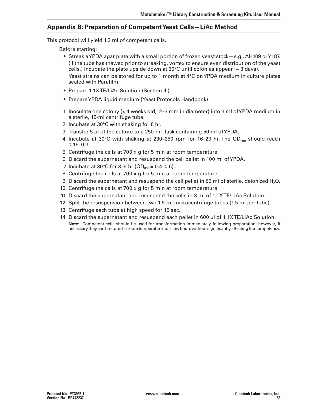# **Appendix B: Preparation of CompetentYeast Cells—LiAc Method**

This protocol will yield 1.2 ml of competent cells.

 Before starting:

- • Streak aYPDA agar plate with a small portion of frozen yeast stock—e.g., AH109 orY187. (If the tube has thawed prior to streaking, vortex to ensure even distribution of the yeast cells.) Incubate the plate upside down at  $30^{\circ}$ C until colonies appear ( $\sim$  3 days). Yeast strains can be stored for up to 1 month at 4°C onYPDA medium in culture plates sealed with Parafilm.
- Prepare 1.1XTE/LiAc Solution (Section III)
- Prepare YPDA liquid medium (Yeast Protocols Handbook)
- 1. Inoculate one colony ( $\leq$  4 weeks old, 2–3 mm in diameter) into 3 ml of YPDA medium in a sterile, 15-ml centrifuge tube.
- 2. Incubate at 30°C with shaking for 8 hr.
- 3. Transfer 5 µl of the culture to a 250-ml flask containing 50 ml of YPDA.
- 4. Incubate at 30°C with shaking at 230–250 rpm for 16–20 hr. The OD<sub>600</sub> should reach 0.15–0.3.
- 5. Centrifuge the cells at 700 x g for 5 min at room temperature.
- 6. Discard the supernatant and resuspend the cell pellet in 100 ml ofYPDA.
- 7. Incubate at 30°C for 3–5 hr (OD $_{600}$  = 0.4–0.5).
- 8. Centrifuge the cells at 700  $\times$  g for 5 min at room temperature.
- 9. Discard the supernatant and resuspend the cell pellet in 60 ml of sterile, deionized H<sub>2</sub>O.
- 10. Centrifuge the cells at  $700 \times g$  for 5 min at room temperature.
- 11. Discard the supernatant and resuspend the cells in 3 ml of 1.1XTE/LiAc Solution.
- 12. Split the resuspension between two 1.5-ml microcentrifuge tubes (1.5 ml per tube).
- 13. Centrifuge each tube at high speed for 15 sec.
- 14. Discard the supernatant and resuspend each pellet in 600 µl of 1.1XTE/LiAc Solution. **Note:** Competent cells should be used for transformation immediately following preparation; however, if necessary they can be stored at room temperature for a few hours without significantly affecting the competency.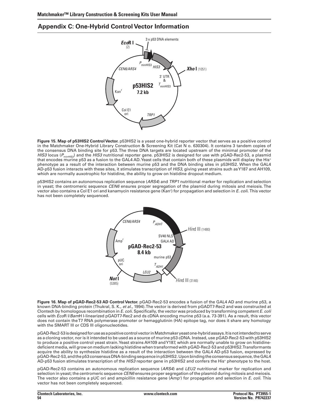# **Appendix C: One-Hybrid Control Vector Information**



**Figure 15. Map of p53HIS2 ControlVector.** p53HIS2 is a yeast one-hybrid reporter vector that serves as a positive control in the Matchmaker One-Hybrid Library Construction & Screening Kit (Cat N o. 630304). It contains 3 tandem copies of the consensus DNA binding site for p53. The three DNA targets are located upstream of the minimal promoter of the *HIS3* locus ( $P_{\text{minHIS3}}$ ) and the *HIS3* nutritional reporter gene. p53HIS2 is designed for use with pGAD-Rec2-53, a plasmid that encodes murine p53 as a fusion to the GAL4 AD.Yeast cells that contain both of these plasmids will display the His+ phenotype as a result of the interaction between murine p53 and the DNA binding sites in p53HIS2. When the GAL4 AD-p53 fusion interacts with these sites, it stimulates transcription of *HIS3*, giving yeast strains such asY187 and AH109, which are normally auxotrophic for histidine, the ability to grow on histidine dropout medium.

p53HIS2 contains an autonomous replication sequence (*ARS4*) and *TRP1* nutritional marker for replication and selection in yeast; the centromeric sequence *CEN6* ensures proper segregation of the plasmid during mitosis and meiosis. The vector also contains a Col E1 ori and kanamycin resistance gene (Kanr ) for propagation and selection in *E. coli.* This vector has not been completely sequenced.



**Figure 16. Map of pGAD-Rec2-53 AD Control Vector.** pGAD-Rec2-53 encodes a fusion of the GAL4 AD and murine p53, a known DNA-binding protein (Thukral, S. K., *et al.,* 1994).The vector is derived from pGADT7-Rec2 and was constructed at Clontech by homologous recombination in *E. coli*. Specifically, the vector was produced by transforming competent *E. coli*  cells with *Eco*R I/*Bam*H I-linearized pGADT7-Rec2 and ds cDNA encoding murine p53 (a.a. 73-391). As a result, this vector does not contain theT7 RNA polymerase promoter or hemagglutinin (HA) epitope tag, nor does it share any homology with the SMART III or CDS III oligonucleotides.

pGAD-Rec2-53 is designed for use as a positive control vector in Matchmaker yeast one-hybrid assays. It is not intended to serve as a cloning vector, nor is it intended to be used as a source of murine p53 cDNA. Instead, use pGAD-Rec2-53 with p53HIS2 to produce a positive control yeast strain.Yeast strains AH109 andY187, which are normally unable to grow on histidinedeficient media, will grow on medium lacking histidine when transformed with pGAD-Rec2-53 and p53HIS2.Transformants acquire the ability to synthesize histidine as a result of the interaction between the GAL4 AD-p53 fusion, expressed by pGAD-Rec2-53, and the p53 consensus DNA-binding sequence in p53HIS2. Upon binding the consensus sequence, the GAL4 AD-p53 fusion stimulates transcription of the *HIS3* reporter gene in p53HIS2 and confers the His+ phenotype to the host.

pGAD-Rec2-53 contains an autonomous replication sequence (*ARS4*) and *LEU2* nutritional marker for replication and selection in yeast; the centromeric sequence *CEN6* ensures proper segregation of the plasmid during mitosis and meiosis. The vector also contains a pUC ori and ampicillin resistance gene (Ampr ) for propagation and selection in *E. coli.* This vector has not been completely sequenced.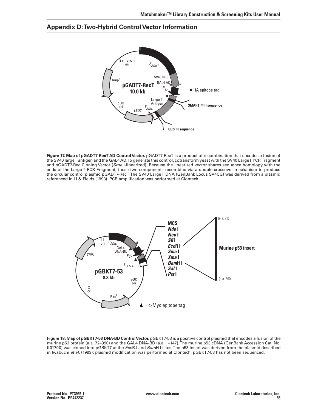# **Appendix D:Two-Hybrid Control Vector Information**



**Figure 17. Map of pGADT7-RecT AD ControlVector.** pGADT7-RecT is a product of recombination that encodes a fusion of the SV40 largeT antigen and the GAL4 AD.To generate this control, cotransform yeast with the SV40 LargeT PCR Fragment and pGADT7-Rec Cloning Vector (*Sma* I-linearized). Because the linearized vector shares sequence homology with the ends of the Large T PCR Fragment, these two components recombine via a double-crossover mechanism to produce the circular control plasmid pGADT7-RecT.The SV40 LargeT DNA (GenBank Locus SV4CG) was derived from a plasmid referenced in Li & Fields (1993). PCR amplification was performed at Clontech.



**Figure 18. Map of pGBKT7-53 DNA-BD ControlVector.** pGBKT7-53 is a positive control plasmid that encodes a fusion of the murine p53 protein (a.a. 72–390) and the GAL4 DNA-BD (a.a. 1–147).The murine p53 cDNA (GenBank Accession Cat. No. K01700) was cloned into pGBKT7 at the *Eco*R I and *Bam*H I sites.The p53 insert was derived from the plasmid described in Iwabuchi *et al.* (1993); plasmid modification was performed at Clontech. pGBKT7-53 has not been sequenced.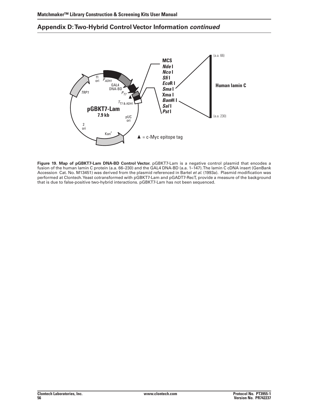# **Appendix D:Two-Hybrid Control Vector Information** *continued*



**Figure 19. Map of pGBKT7-Lam DNA-BD Control Vector.** pGBKT7-Lam is a negative control plasmid that encodes a fusion of the human lamin C protein (a.a. 66–230) and the GAL4 DNA-BD (a.a. 1–147). The lamin C cDNA insert (GenBank Accession Cat. No. M13451) was derived from the plasmid referenced in Bartel *et al.* (1993a). Plasmid modification was performed at Clontech.Yeast cotransformed with pGBKT7-Lam and pGADT7-RecT, provide a measure of the background that is due to false-positive two-hybrid interactions. pGBKT7-Lam has not been sequenced.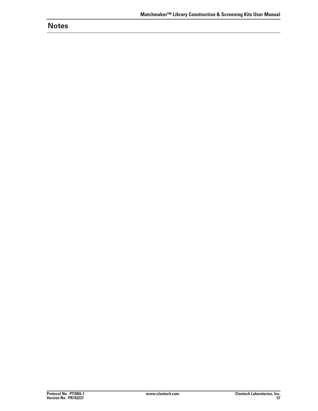# **Notes**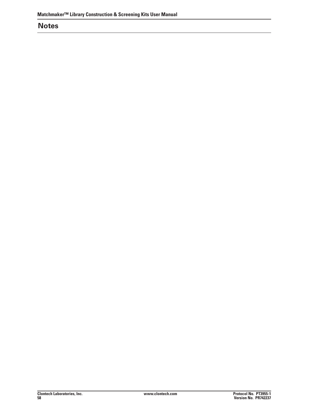# **Notes**